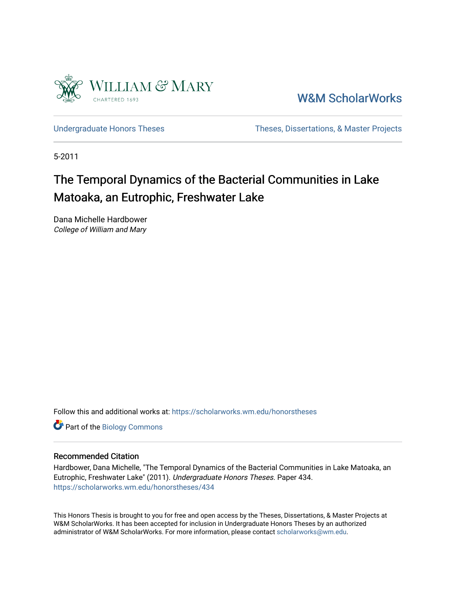

[W&M ScholarWorks](https://scholarworks.wm.edu/) 

[Undergraduate Honors Theses](https://scholarworks.wm.edu/honorstheses) Theses Theses, Dissertations, & Master Projects

5-2011

# The Temporal Dynamics of the Bacterial Communities in Lake Matoaka, an Eutrophic, Freshwater Lake

Dana Michelle Hardbower College of William and Mary

Follow this and additional works at: [https://scholarworks.wm.edu/honorstheses](https://scholarworks.wm.edu/honorstheses?utm_source=scholarworks.wm.edu%2Fhonorstheses%2F434&utm_medium=PDF&utm_campaign=PDFCoverPages) 

Part of the [Biology Commons](http://network.bepress.com/hgg/discipline/41?utm_source=scholarworks.wm.edu%2Fhonorstheses%2F434&utm_medium=PDF&utm_campaign=PDFCoverPages) 

#### Recommended Citation

Hardbower, Dana Michelle, "The Temporal Dynamics of the Bacterial Communities in Lake Matoaka, an Eutrophic, Freshwater Lake" (2011). Undergraduate Honors Theses. Paper 434. [https://scholarworks.wm.edu/honorstheses/434](https://scholarworks.wm.edu/honorstheses/434?utm_source=scholarworks.wm.edu%2Fhonorstheses%2F434&utm_medium=PDF&utm_campaign=PDFCoverPages) 

This Honors Thesis is brought to you for free and open access by the Theses, Dissertations, & Master Projects at W&M ScholarWorks. It has been accepted for inclusion in Undergraduate Honors Theses by an authorized administrator of W&M ScholarWorks. For more information, please contact [scholarworks@wm.edu.](mailto:scholarworks@wm.edu)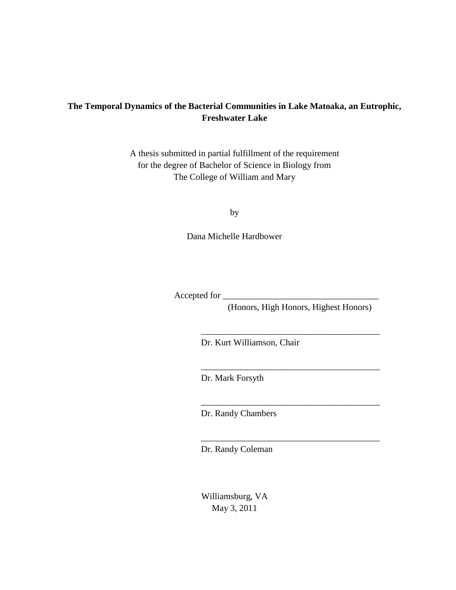# **The Temporal Dynamics of the Bacterial Communities in Lake Matoaka, an Eutrophic, Freshwater Lake**

A thesis submitted in partial fulfillment of the requirement for the degree of Bachelor of Science in Biology from The College of William and Mary

by

Dana Michelle Hardbower

Accepted for

(Honors, High Honors, Highest Honors)

\_\_\_\_\_\_\_\_\_\_\_\_\_\_\_\_\_\_\_\_\_\_\_\_\_\_\_\_\_\_\_\_\_\_\_\_\_\_\_\_

\_\_\_\_\_\_\_\_\_\_\_\_\_\_\_\_\_\_\_\_\_\_\_\_\_\_\_\_\_\_\_\_\_\_\_\_\_\_\_\_

\_\_\_\_\_\_\_\_\_\_\_\_\_\_\_\_\_\_\_\_\_\_\_\_\_\_\_\_\_\_\_\_\_\_\_\_\_\_\_\_

\_\_\_\_\_\_\_\_\_\_\_\_\_\_\_\_\_\_\_\_\_\_\_\_\_\_\_\_\_\_\_\_\_\_\_\_\_\_\_\_

Dr. Kurt Williamson, Chair

Dr. Mark Forsyth

Dr. Randy Chambers

Dr. Randy Coleman

Williamsburg, VA May 3, 2011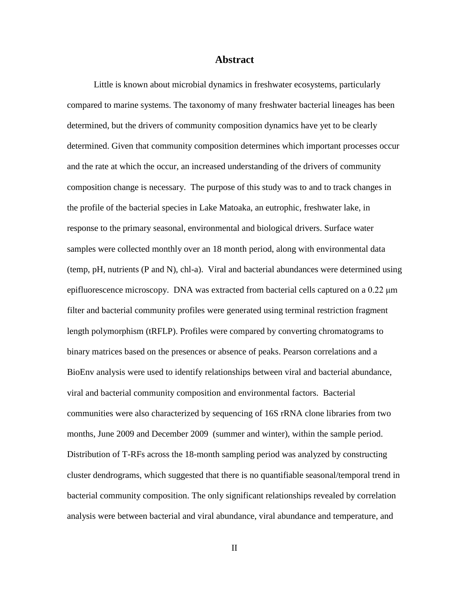#### **Abstract**

Little is known about microbial dynamics in freshwater ecosystems, particularly compared to marine systems. The taxonomy of many freshwater bacterial lineages has been determined, but the drivers of community composition dynamics have yet to be clearly determined. Given that community composition determines which important processes occur and the rate at which the occur, an increased understanding of the drivers of community composition change is necessary. The purpose of this study was to and to track changes in the profile of the bacterial species in Lake Matoaka, an eutrophic, freshwater lake, in response to the primary seasonal, environmental and biological drivers. Surface water samples were collected monthly over an 18 month period, along with environmental data (temp, pH, nutrients (P and N), chl-a). Viral and bacterial abundances were determined using epifluorescence microscopy. DNA was extracted from bacterial cells captured on a 0.22 μm filter and bacterial community profiles were generated using terminal restriction fragment length polymorphism (tRFLP). Profiles were compared by converting chromatograms to binary matrices based on the presences or absence of peaks. Pearson correlations and a BioEnv analysis were used to identify relationships between viral and bacterial abundance, viral and bacterial community composition and environmental factors. Bacterial communities were also characterized by sequencing of 16S rRNA clone libraries from two months, June 2009 and December 2009 (summer and winter), within the sample period. Distribution of T-RFs across the 18-month sampling period was analyzed by constructing cluster dendrograms, which suggested that there is no quantifiable seasonal/temporal trend in bacterial community composition. The only significant relationships revealed by correlation analysis were between bacterial and viral abundance, viral abundance and temperature, and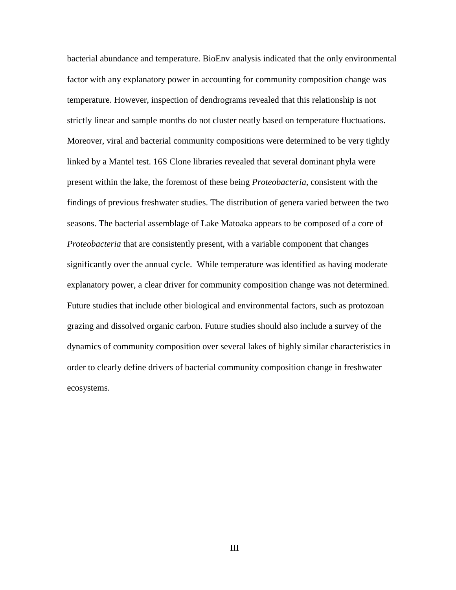bacterial abundance and temperature. BioEnv analysis indicated that the only environmental factor with any explanatory power in accounting for community composition change was temperature. However, inspection of dendrograms revealed that this relationship is not strictly linear and sample months do not cluster neatly based on temperature fluctuations. Moreover, viral and bacterial community compositions were determined to be very tightly linked by a Mantel test. 16S Clone libraries revealed that several dominant phyla were present within the lake, the foremost of these being *Proteobacteria*, consistent with the findings of previous freshwater studies. The distribution of genera varied between the two seasons. The bacterial assemblage of Lake Matoaka appears to be composed of a core of *Proteobacteria* that are consistently present, with a variable component that changes significantly over the annual cycle. While temperature was identified as having moderate explanatory power, a clear driver for community composition change was not determined. Future studies that include other biological and environmental factors, such as protozoan grazing and dissolved organic carbon. Future studies should also include a survey of the dynamics of community composition over several lakes of highly similar characteristics in order to clearly define drivers of bacterial community composition change in freshwater ecosystems.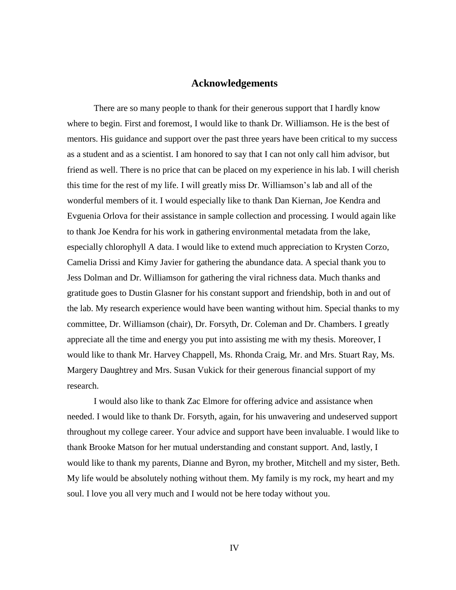# **Acknowledgements**

There are so many people to thank for their generous support that I hardly know where to begin. First and foremost, I would like to thank Dr. Williamson. He is the best of mentors. His guidance and support over the past three years have been critical to my success as a student and as a scientist. I am honored to say that I can not only call him advisor, but friend as well. There is no price that can be placed on my experience in his lab. I will cherish this time for the rest of my life. I will greatly miss Dr. Williamson's lab and all of the wonderful members of it. I would especially like to thank Dan Kiernan, Joe Kendra and Evguenia Orlova for their assistance in sample collection and processing. I would again like to thank Joe Kendra for his work in gathering environmental metadata from the lake, especially chlorophyll A data. I would like to extend much appreciation to Krysten Corzo, Camelia Drissi and Kimy Javier for gathering the abundance data. A special thank you to Jess Dolman and Dr. Williamson for gathering the viral richness data. Much thanks and gratitude goes to Dustin Glasner for his constant support and friendship, both in and out of the lab. My research experience would have been wanting without him. Special thanks to my committee, Dr. Williamson (chair), Dr. Forsyth, Dr. Coleman and Dr. Chambers. I greatly appreciate all the time and energy you put into assisting me with my thesis. Moreover, I would like to thank Mr. Harvey Chappell, Ms. Rhonda Craig, Mr. and Mrs. Stuart Ray, Ms. Margery Daughtrey and Mrs. Susan Vukick for their generous financial support of my research.

I would also like to thank Zac Elmore for offering advice and assistance when needed. I would like to thank Dr. Forsyth, again, for his unwavering and undeserved support throughout my college career. Your advice and support have been invaluable. I would like to thank Brooke Matson for her mutual understanding and constant support. And, lastly, I would like to thank my parents, Dianne and Byron, my brother, Mitchell and my sister, Beth. My life would be absolutely nothing without them. My family is my rock, my heart and my soul. I love you all very much and I would not be here today without you.

IV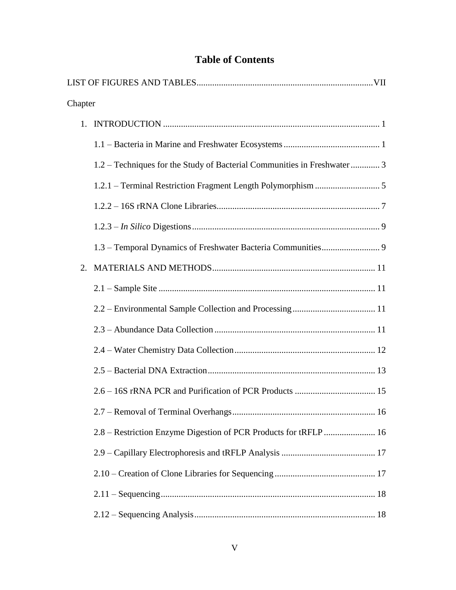# **Table of Contents**

| Chapter |                                                                         |  |
|---------|-------------------------------------------------------------------------|--|
|         |                                                                         |  |
|         |                                                                         |  |
|         | 1.2 – Techniques for the Study of Bacterial Communities in Freshwater 3 |  |
|         |                                                                         |  |
|         |                                                                         |  |
|         |                                                                         |  |
|         |                                                                         |  |
| 2.      |                                                                         |  |
|         |                                                                         |  |
|         |                                                                         |  |
|         |                                                                         |  |
|         |                                                                         |  |
|         |                                                                         |  |
|         |                                                                         |  |
|         |                                                                         |  |
|         | 2.8 - Restriction Enzyme Digestion of PCR Products for tRFLP  16        |  |
|         |                                                                         |  |
|         |                                                                         |  |
|         |                                                                         |  |
|         |                                                                         |  |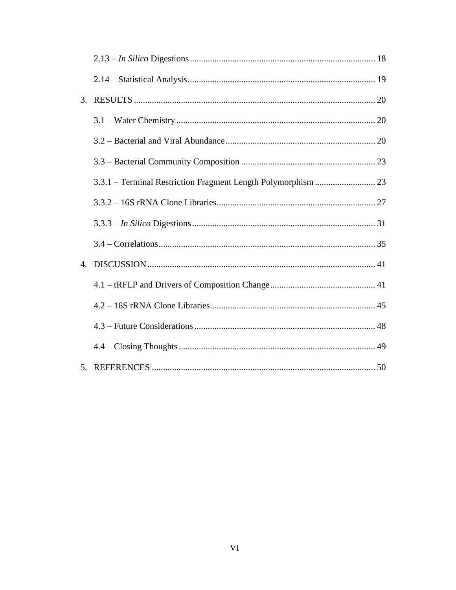| 3. |  |
|----|--|
|    |  |
|    |  |
|    |  |
|    |  |
|    |  |
|    |  |
|    |  |
| 4. |  |
|    |  |
|    |  |
|    |  |
|    |  |
|    |  |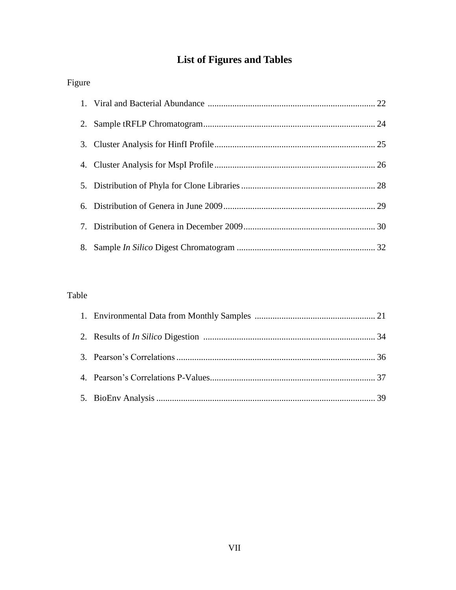# **List of Figures and Tables**

| Figure |  |
|--------|--|
|        |  |
| 2.     |  |
| 3.     |  |
|        |  |
| 5.     |  |
| 6.     |  |
| 7.     |  |
| 8.     |  |

# Table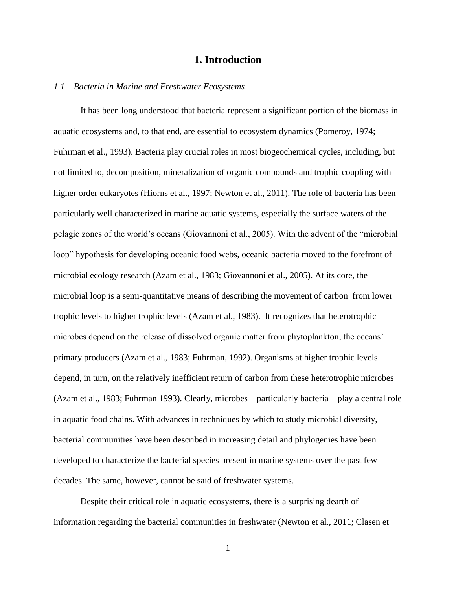# **1. Introduction**

#### *1.1 – Bacteria in Marine and Freshwater Ecosystems*

It has been long understood that bacteria represent a significant portion of the biomass in aquatic ecosystems and, to that end, are essential to ecosystem dynamics (Pomeroy, 1974; Fuhrman et al., 1993). Bacteria play crucial roles in most biogeochemical cycles, including, but not limited to, decomposition, mineralization of organic compounds and trophic coupling with higher order eukaryotes (Hiorns et al., 1997; Newton et al., 2011). The role of bacteria has been particularly well characterized in marine aquatic systems, especially the surface waters of the pelagic zones of the world's oceans (Giovannoni et al., 2005). With the advent of the "microbial loop" hypothesis for developing oceanic food webs, oceanic bacteria moved to the forefront of microbial ecology research (Azam et al., 1983; Giovannoni et al., 2005). At its core, the microbial loop is a semi-quantitative means of describing the movement of carbon from lower trophic levels to higher trophic levels (Azam et al., 1983). It recognizes that heterotrophic microbes depend on the release of dissolved organic matter from phytoplankton, the oceans' primary producers (Azam et al., 1983; Fuhrman, 1992). Organisms at higher trophic levels depend, in turn, on the relatively inefficient return of carbon from these heterotrophic microbes (Azam et al., 1983; Fuhrman 1993). Clearly, microbes – particularly bacteria – play a central role in aquatic food chains. With advances in techniques by which to study microbial diversity, bacterial communities have been described in increasing detail and phylogenies have been developed to characterize the bacterial species present in marine systems over the past few decades. The same, however, cannot be said of freshwater systems.

Despite their critical role in aquatic ecosystems, there is a surprising dearth of information regarding the bacterial communities in freshwater (Newton et al., 2011; Clasen et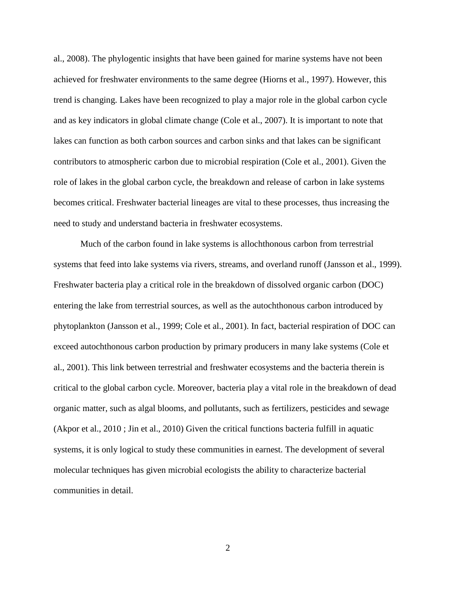al., 2008). The phylogentic insights that have been gained for marine systems have not been achieved for freshwater environments to the same degree (Hiorns et al., 1997). However, this trend is changing. Lakes have been recognized to play a major role in the global carbon cycle and as key indicators in global climate change (Cole et al., 2007). It is important to note that lakes can function as both carbon sources and carbon sinks and that lakes can be significant contributors to atmospheric carbon due to microbial respiration (Cole et al., 2001). Given the role of lakes in the global carbon cycle, the breakdown and release of carbon in lake systems becomes critical. Freshwater bacterial lineages are vital to these processes, thus increasing the need to study and understand bacteria in freshwater ecosystems.

Much of the carbon found in lake systems is allochthonous carbon from terrestrial systems that feed into lake systems via rivers, streams, and overland runoff (Jansson et al., 1999). Freshwater bacteria play a critical role in the breakdown of dissolved organic carbon (DOC) entering the lake from terrestrial sources, as well as the autochthonous carbon introduced by phytoplankton (Jansson et al., 1999; Cole et al., 2001). In fact, bacterial respiration of DOC can exceed autochthonous carbon production by primary producers in many lake systems (Cole et al., 2001). This link between terrestrial and freshwater ecosystems and the bacteria therein is critical to the global carbon cycle. Moreover, bacteria play a vital role in the breakdown of dead organic matter, such as algal blooms, and pollutants, such as fertilizers, pesticides and sewage (Akpor et al., 2010 ; Jin et al., 2010) Given the critical functions bacteria fulfill in aquatic systems, it is only logical to study these communities in earnest. The development of several molecular techniques has given microbial ecologists the ability to characterize bacterial communities in detail.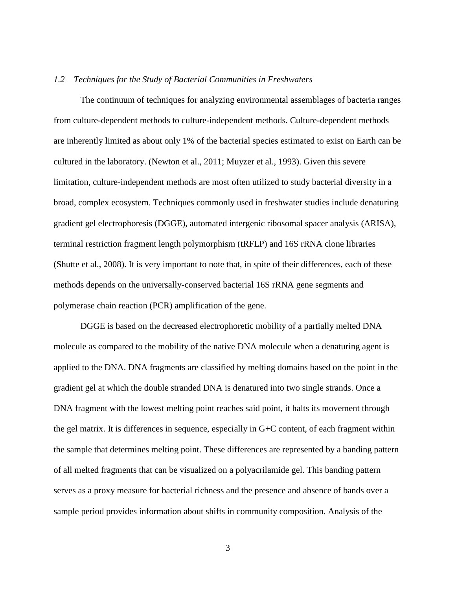#### *1.2 – Techniques for the Study of Bacterial Communities in Freshwaters*

The continuum of techniques for analyzing environmental assemblages of bacteria ranges from culture-dependent methods to culture-independent methods. Culture-dependent methods are inherently limited as about only 1% of the bacterial species estimated to exist on Earth can be cultured in the laboratory. (Newton et al., 2011; Muyzer et al., 1993). Given this severe limitation, culture-independent methods are most often utilized to study bacterial diversity in a broad, complex ecosystem. Techniques commonly used in freshwater studies include denaturing gradient gel electrophoresis (DGGE), automated intergenic ribosomal spacer analysis (ARISA), terminal restriction fragment length polymorphism (tRFLP) and 16S rRNA clone libraries (Shutte et al., 2008). It is very important to note that, in spite of their differences, each of these methods depends on the universally-conserved bacterial 16S rRNA gene segments and polymerase chain reaction (PCR) amplification of the gene.

DGGE is based on the decreased electrophoretic mobility of a partially melted DNA molecule as compared to the mobility of the native DNA molecule when a denaturing agent is applied to the DNA. DNA fragments are classified by melting domains based on the point in the gradient gel at which the double stranded DNA is denatured into two single strands. Once a DNA fragment with the lowest melting point reaches said point, it halts its movement through the gel matrix. It is differences in sequence, especially in G+C content, of each fragment within the sample that determines melting point. These differences are represented by a banding pattern of all melted fragments that can be visualized on a polyacrilamide gel. This banding pattern serves as a proxy measure for bacterial richness and the presence and absence of bands over a sample period provides information about shifts in community composition. Analysis of the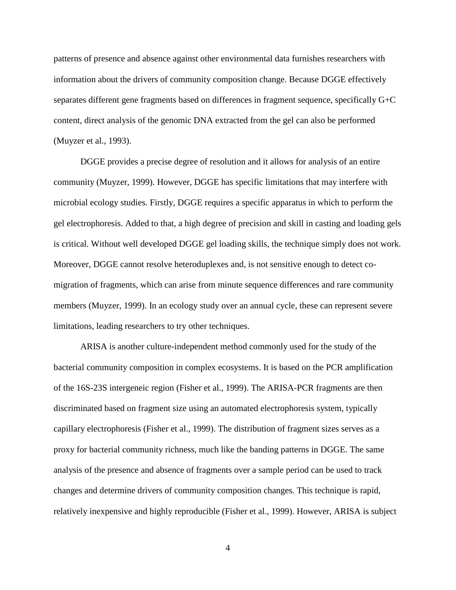patterns of presence and absence against other environmental data furnishes researchers with information about the drivers of community composition change. Because DGGE effectively separates different gene fragments based on differences in fragment sequence, specifically G+C content, direct analysis of the genomic DNA extracted from the gel can also be performed (Muyzer et al., 1993).

DGGE provides a precise degree of resolution and it allows for analysis of an entire community (Muyzer, 1999). However, DGGE has specific limitations that may interfere with microbial ecology studies. Firstly, DGGE requires a specific apparatus in which to perform the gel electrophoresis. Added to that, a high degree of precision and skill in casting and loading gels is critical. Without well developed DGGE gel loading skills, the technique simply does not work. Moreover, DGGE cannot resolve heteroduplexes and, is not sensitive enough to detect comigration of fragments, which can arise from minute sequence differences and rare community members (Muyzer, 1999). In an ecology study over an annual cycle, these can represent severe limitations, leading researchers to try other techniques.

ARISA is another culture-independent method commonly used for the study of the bacterial community composition in complex ecosystems. It is based on the PCR amplification of the 16S-23S intergeneic region (Fisher et al., 1999). The ARISA-PCR fragments are then discriminated based on fragment size using an automated electrophoresis system, typically capillary electrophoresis (Fisher et al., 1999). The distribution of fragment sizes serves as a proxy for bacterial community richness, much like the banding patterns in DGGE. The same analysis of the presence and absence of fragments over a sample period can be used to track changes and determine drivers of community composition changes. This technique is rapid, relatively inexpensive and highly reproducible (Fisher et al., 1999). However, ARISA is subject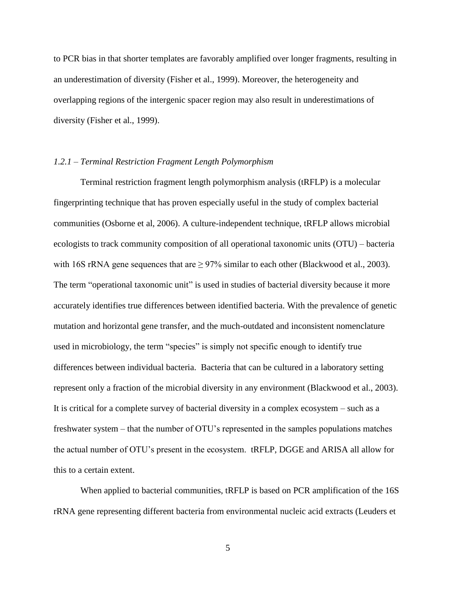to PCR bias in that shorter templates are favorably amplified over longer fragments, resulting in an underestimation of diversity (Fisher et al., 1999). Moreover, the heterogeneity and overlapping regions of the intergenic spacer region may also result in underestimations of diversity (Fisher et al., 1999).

#### *1.2.1 – Terminal Restriction Fragment Length Polymorphism*

Terminal restriction fragment length polymorphism analysis (tRFLP) is a molecular fingerprinting technique that has proven especially useful in the study of complex bacterial communities (Osborne et al, 2006). A culture-independent technique, tRFLP allows microbial ecologists to track community composition of all operational taxonomic units (OTU) – bacteria with 16S rRNA gene sequences that are  $\geq$  97% similar to each other (Blackwood et al., 2003). The term "operational taxonomic unit" is used in studies of bacterial diversity because it more accurately identifies true differences between identified bacteria. With the prevalence of genetic mutation and horizontal gene transfer, and the much-outdated and inconsistent nomenclature used in microbiology, the term "species" is simply not specific enough to identify true differences between individual bacteria. Bacteria that can be cultured in a laboratory setting represent only a fraction of the microbial diversity in any environment (Blackwood et al., 2003). It is critical for a complete survey of bacterial diversity in a complex ecosystem – such as a freshwater system – that the number of OTU's represented in the samples populations matches the actual number of OTU's present in the ecosystem. tRFLP, DGGE and ARISA all allow for this to a certain extent.

When applied to bacterial communities, tRFLP is based on PCR amplification of the 16S rRNA gene representing different bacteria from environmental nucleic acid extracts (Leuders et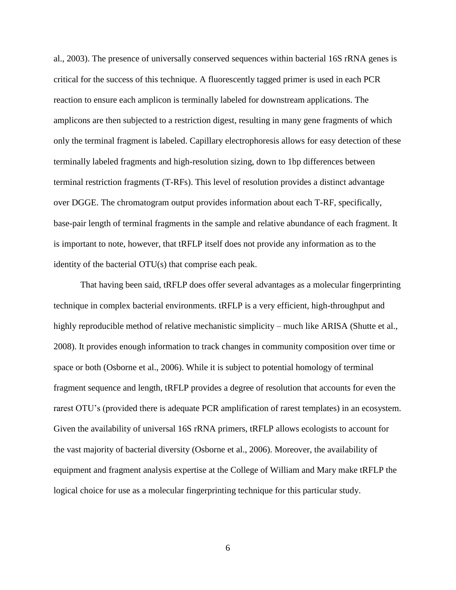al., 2003). The presence of universally conserved sequences within bacterial 16S rRNA genes is critical for the success of this technique. A fluorescently tagged primer is used in each PCR reaction to ensure each amplicon is terminally labeled for downstream applications. The amplicons are then subjected to a restriction digest, resulting in many gene fragments of which only the terminal fragment is labeled. Capillary electrophoresis allows for easy detection of these terminally labeled fragments and high-resolution sizing, down to 1bp differences between terminal restriction fragments (T-RFs). This level of resolution provides a distinct advantage over DGGE. The chromatogram output provides information about each T-RF, specifically, base-pair length of terminal fragments in the sample and relative abundance of each fragment. It is important to note, however, that tRFLP itself does not provide any information as to the identity of the bacterial OTU(s) that comprise each peak.

That having been said, tRFLP does offer several advantages as a molecular fingerprinting technique in complex bacterial environments. tRFLP is a very efficient, high-throughput and highly reproducible method of relative mechanistic simplicity – much like ARISA (Shutte et al., 2008). It provides enough information to track changes in community composition over time or space or both (Osborne et al., 2006). While it is subject to potential homology of terminal fragment sequence and length, tRFLP provides a degree of resolution that accounts for even the rarest OTU's (provided there is adequate PCR amplification of rarest templates) in an ecosystem. Given the availability of universal 16S rRNA primers, tRFLP allows ecologists to account for the vast majority of bacterial diversity (Osborne et al., 2006). Moreover, the availability of equipment and fragment analysis expertise at the College of William and Mary make tRFLP the logical choice for use as a molecular fingerprinting technique for this particular study.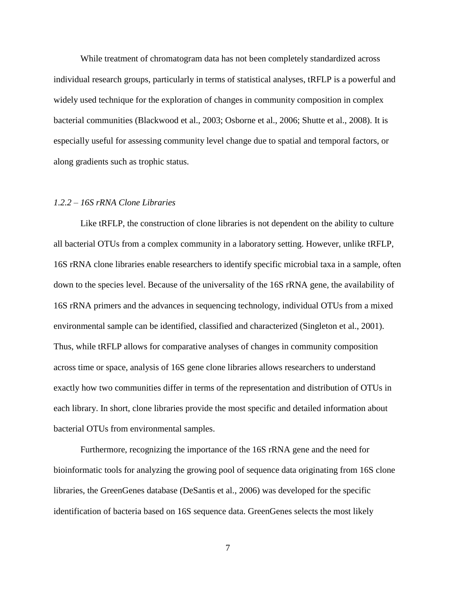While treatment of chromatogram data has not been completely standardized across individual research groups, particularly in terms of statistical analyses, tRFLP is a powerful and widely used technique for the exploration of changes in community composition in complex bacterial communities (Blackwood et al., 2003; Osborne et al., 2006; Shutte et al., 2008). It is especially useful for assessing community level change due to spatial and temporal factors, or along gradients such as trophic status.

#### *1.2.2 – 16S rRNA Clone Libraries*

Like tRFLP, the construction of clone libraries is not dependent on the ability to culture all bacterial OTUs from a complex community in a laboratory setting. However, unlike tRFLP, 16S rRNA clone libraries enable researchers to identify specific microbial taxa in a sample, often down to the species level. Because of the universality of the 16S rRNA gene, the availability of 16S rRNA primers and the advances in sequencing technology, individual OTUs from a mixed environmental sample can be identified, classified and characterized (Singleton et al., 2001). Thus, while tRFLP allows for comparative analyses of changes in community composition across time or space, analysis of 16S gene clone libraries allows researchers to understand exactly how two communities differ in terms of the representation and distribution of OTUs in each library. In short, clone libraries provide the most specific and detailed information about bacterial OTUs from environmental samples.

Furthermore, recognizing the importance of the 16S rRNA gene and the need for bioinformatic tools for analyzing the growing pool of sequence data originating from 16S clone libraries, the GreenGenes database (DeSantis et al., 2006) was developed for the specific identification of bacteria based on 16S sequence data. GreenGenes selects the most likely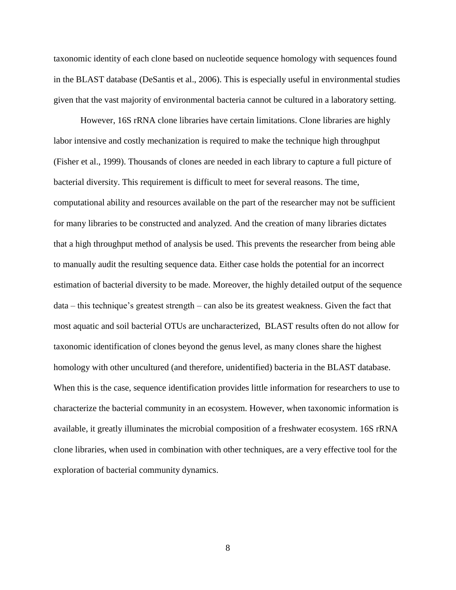taxonomic identity of each clone based on nucleotide sequence homology with sequences found in the BLAST database (DeSantis et al., 2006). This is especially useful in environmental studies given that the vast majority of environmental bacteria cannot be cultured in a laboratory setting.

However, 16S rRNA clone libraries have certain limitations. Clone libraries are highly labor intensive and costly mechanization is required to make the technique high throughput (Fisher et al., 1999). Thousands of clones are needed in each library to capture a full picture of bacterial diversity. This requirement is difficult to meet for several reasons. The time, computational ability and resources available on the part of the researcher may not be sufficient for many libraries to be constructed and analyzed. And the creation of many libraries dictates that a high throughput method of analysis be used. This prevents the researcher from being able to manually audit the resulting sequence data. Either case holds the potential for an incorrect estimation of bacterial diversity to be made. Moreover, the highly detailed output of the sequence data – this technique's greatest strength – can also be its greatest weakness. Given the fact that most aquatic and soil bacterial OTUs are uncharacterized, BLAST results often do not allow for taxonomic identification of clones beyond the genus level, as many clones share the highest homology with other uncultured (and therefore, unidentified) bacteria in the BLAST database. When this is the case, sequence identification provides little information for researchers to use to characterize the bacterial community in an ecosystem. However, when taxonomic information is available, it greatly illuminates the microbial composition of a freshwater ecosystem. 16S rRNA clone libraries, when used in combination with other techniques, are a very effective tool for the exploration of bacterial community dynamics.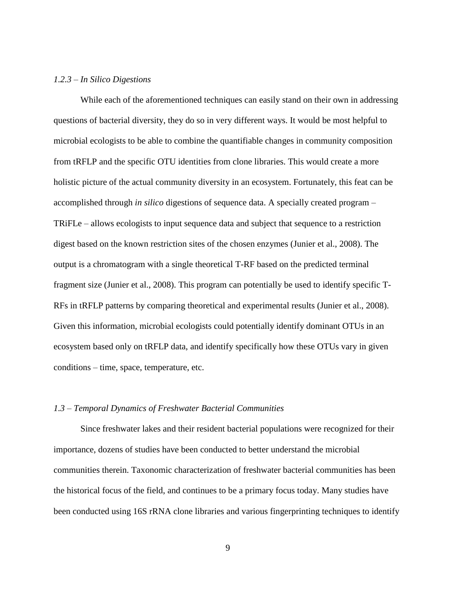## *1.2.3 – In Silico Digestions*

While each of the aforementioned techniques can easily stand on their own in addressing questions of bacterial diversity, they do so in very different ways. It would be most helpful to microbial ecologists to be able to combine the quantifiable changes in community composition from tRFLP and the specific OTU identities from clone libraries. This would create a more holistic picture of the actual community diversity in an ecosystem. Fortunately, this feat can be accomplished through *in silico* digestions of sequence data. A specially created program – TRiFLe – allows ecologists to input sequence data and subject that sequence to a restriction digest based on the known restriction sites of the chosen enzymes (Junier et al., 2008). The output is a chromatogram with a single theoretical T-RF based on the predicted terminal fragment size (Junier et al., 2008). This program can potentially be used to identify specific T-RFs in tRFLP patterns by comparing theoretical and experimental results (Junier et al., 2008). Given this information, microbial ecologists could potentially identify dominant OTUs in an ecosystem based only on tRFLP data, and identify specifically how these OTUs vary in given conditions – time, space, temperature, etc.

#### *1.3 – Temporal Dynamics of Freshwater Bacterial Communities*

Since freshwater lakes and their resident bacterial populations were recognized for their importance, dozens of studies have been conducted to better understand the microbial communities therein. Taxonomic characterization of freshwater bacterial communities has been the historical focus of the field, and continues to be a primary focus today. Many studies have been conducted using 16S rRNA clone libraries and various fingerprinting techniques to identify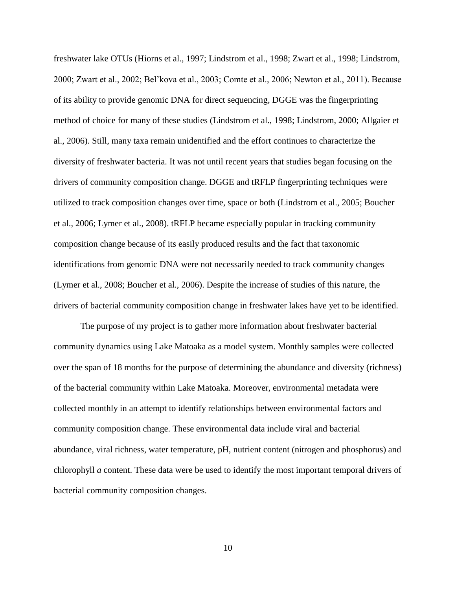freshwater lake OTUs (Hiorns et al., 1997; Lindstrom et al., 1998; Zwart et al., 1998; Lindstrom, 2000; Zwart et al., 2002; Bel'kova et al., 2003; Comte et al., 2006; Newton et al., 2011). Because of its ability to provide genomic DNA for direct sequencing, DGGE was the fingerprinting method of choice for many of these studies (Lindstrom et al., 1998; Lindstrom, 2000; Allgaier et al., 2006). Still, many taxa remain unidentified and the effort continues to characterize the diversity of freshwater bacteria. It was not until recent years that studies began focusing on the drivers of community composition change. DGGE and tRFLP fingerprinting techniques were utilized to track composition changes over time, space or both (Lindstrom et al., 2005; Boucher et al., 2006; Lymer et al., 2008). tRFLP became especially popular in tracking community composition change because of its easily produced results and the fact that taxonomic identifications from genomic DNA were not necessarily needed to track community changes (Lymer et al., 2008; Boucher et al., 2006). Despite the increase of studies of this nature, the drivers of bacterial community composition change in freshwater lakes have yet to be identified.

The purpose of my project is to gather more information about freshwater bacterial community dynamics using Lake Matoaka as a model system. Monthly samples were collected over the span of 18 months for the purpose of determining the abundance and diversity (richness) of the bacterial community within Lake Matoaka. Moreover, environmental metadata were collected monthly in an attempt to identify relationships between environmental factors and community composition change. These environmental data include viral and bacterial abundance, viral richness, water temperature, pH, nutrient content (nitrogen and phosphorus) and chlorophyll *a* content. These data were be used to identify the most important temporal drivers of bacterial community composition changes.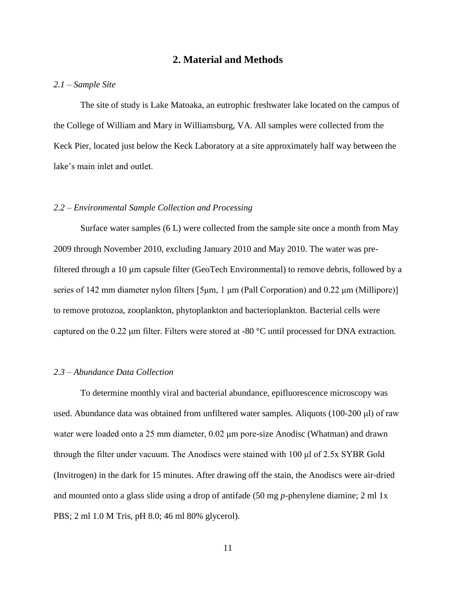## **2. Material and Methods**

#### *2.1 – Sample Site*

The site of study is Lake Matoaka, an eutrophic freshwater lake located on the campus of the College of William and Mary in Williamsburg, VA. All samples were collected from the Keck Pier, located just below the Keck Laboratory at a site approximately half way between the lake's main inlet and outlet.

#### *2.2 – Environmental Sample Collection and Processing*

Surface water samples (6 L) were collected from the sample site once a month from May 2009 through November 2010, excluding January 2010 and May 2010. The water was prefiltered through a 10 µm capsule filter (GeoTech Environmental) to remove debris, followed by a series of 142 mm diameter nylon filters [5μm, 1 μm (Pall Corporation) and 0.22 μm (Millipore)] to remove protozoa, zooplankton, phytoplankton and bacterioplankton. Bacterial cells were captured on the 0.22 μm filter. Filters were stored at -80 °C until processed for DNA extraction.

#### *2.3 – Abundance Data Collection*

To determine monthly viral and bacterial abundance, epifluorescence microscopy was used. Abundance data was obtained from unfiltered water samples. Aliquots (100-200 μl) of raw water were loaded onto a 25 mm diameter, 0.02 μm pore-size Anodisc (Whatman) and drawn through the filter under vacuum. The Anodiscs were stained with 100 μl of 2.5x SYBR Gold (Invitrogen) in the dark for 15 minutes. After drawing off the stain, the Anodiscs were air-dried and mounted onto a glass slide using a drop of antifade (50 mg *p*-phenylene diamine; 2 ml 1x PBS; 2 ml 1.0 M Tris, pH 8.0; 46 ml 80% glycerol).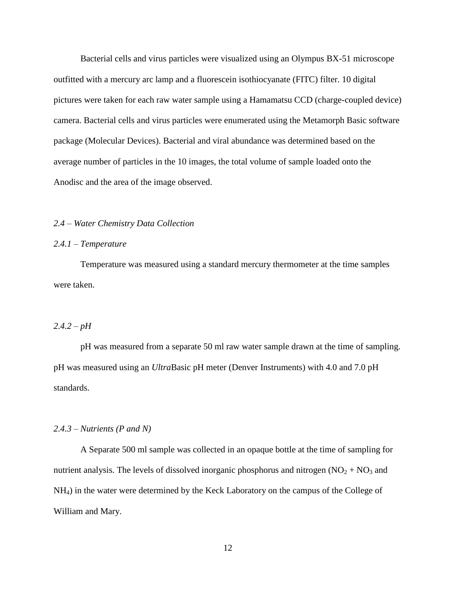Bacterial cells and virus particles were visualized using an Olympus BX-51 microscope outfitted with a mercury arc lamp and a fluorescein isothiocyanate (FITC) filter. 10 digital pictures were taken for each raw water sample using a Hamamatsu CCD (charge-coupled device) camera. Bacterial cells and virus particles were enumerated using the Metamorph Basic software package (Molecular Devices). Bacterial and viral abundance was determined based on the average number of particles in the 10 images, the total volume of sample loaded onto the Anodisc and the area of the image observed.

#### *2.4 – Water Chemistry Data Collection*

#### *2.4.1 – Temperature*

Temperature was measured using a standard mercury thermometer at the time samples were taken.

## $2.4.2 - pH$

pH was measured from a separate 50 ml raw water sample drawn at the time of sampling. pH was measured using an *Ultra*Basic pH meter (Denver Instruments) with 4.0 and 7.0 pH standards.

#### *2.4.3 – Nutrients (P and N)*

A Separate 500 ml sample was collected in an opaque bottle at the time of sampling for nutrient analysis. The levels of dissolved inorganic phosphorus and nitrogen  $(NO<sub>2</sub> + NO<sub>3</sub>)$  and NH4) in the water were determined by the Keck Laboratory on the campus of the College of William and Mary.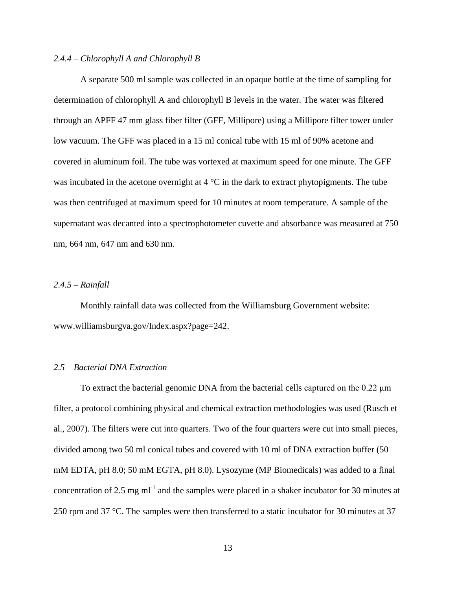#### *2.4.4 – Chlorophyll A and Chlorophyll B*

A separate 500 ml sample was collected in an opaque bottle at the time of sampling for determination of chlorophyll A and chlorophyll B levels in the water. The water was filtered through an APFF 47 mm glass fiber filter (GFF, Millipore) using a Millipore filter tower under low vacuum. The GFF was placed in a 15 ml conical tube with 15 ml of 90% acetone and covered in aluminum foil. The tube was vortexed at maximum speed for one minute. The GFF was incubated in the acetone overnight at  $4^{\circ}$ C in the dark to extract phytopigments. The tube was then centrifuged at maximum speed for 10 minutes at room temperature. A sample of the supernatant was decanted into a spectrophotometer cuvette and absorbance was measured at 750 nm, 664 nm, 647 nm and 630 nm.

### *2.4.5 – Rainfall*

Monthly rainfall data was collected from the Williamsburg Government website: www.williamsburgva.gov/Index.aspx?page=242.

#### *2.5 – Bacterial DNA Extraction*

To extract the bacterial genomic DNA from the bacterial cells captured on the  $0.22 \mu m$ filter, a protocol combining physical and chemical extraction methodologies was used (Rusch et al., 2007). The filters were cut into quarters. Two of the four quarters were cut into small pieces, divided among two 50 ml conical tubes and covered with 10 ml of DNA extraction buffer (50 mM EDTA, pH 8.0; 50 mM EGTA, pH 8.0). Lysozyme (MP Biomedicals) was added to a final concentration of 2.5 mg m $l^{-1}$  and the samples were placed in a shaker incubator for 30 minutes at 250 rpm and 37 °C. The samples were then transferred to a static incubator for 30 minutes at 37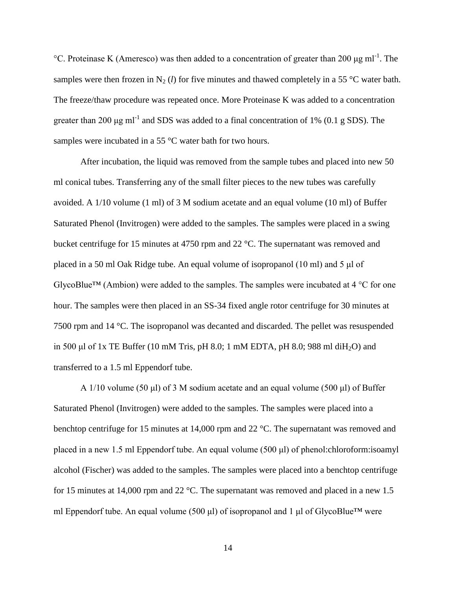°C. Proteinase K (Ameresco) was then added to a concentration of greater than 200  $\mu$ g ml<sup>-1</sup>. The samples were then frozen in N<sub>2</sub> (*l*) for five minutes and thawed completely in a 55 °C water bath. The freeze/thaw procedure was repeated once. More Proteinase K was added to a concentration greater than 200  $\mu$ g ml<sup>-1</sup> and SDS was added to a final concentration of 1% (0.1 g SDS). The samples were incubated in a 55 °C water bath for two hours.

After incubation, the liquid was removed from the sample tubes and placed into new 50 ml conical tubes. Transferring any of the small filter pieces to the new tubes was carefully avoided. A 1/10 volume (1 ml) of 3 M sodium acetate and an equal volume (10 ml) of Buffer Saturated Phenol (Invitrogen) were added to the samples. The samples were placed in a swing bucket centrifuge for 15 minutes at 4750 rpm and 22 °C. The supernatant was removed and placed in a 50 ml Oak Ridge tube. An equal volume of isopropanol (10 ml) and 5 μl of GlycoBlue<sup>TM</sup> (Ambion) were added to the samples. The samples were incubated at 4  $^{\circ}$ C for one hour. The samples were then placed in an SS-34 fixed angle rotor centrifuge for 30 minutes at 7500 rpm and 14 °C. The isopropanol was decanted and discarded. The pellet was resuspended in 500 μl of 1x TE Buffer (10 mM Tris, pH 8.0; 1 mM EDTA, pH 8.0; 988 ml diH<sub>2</sub>O) and transferred to a 1.5 ml Eppendorf tube.

A 1/10 volume (50 μl) of 3 M sodium acetate and an equal volume (500 μl) of Buffer Saturated Phenol (Invitrogen) were added to the samples. The samples were placed into a benchtop centrifuge for 15 minutes at 14,000 rpm and 22 °C. The supernatant was removed and placed in a new 1.5 ml Eppendorf tube. An equal volume (500 μl) of phenol:chloroform:isoamyl alcohol (Fischer) was added to the samples. The samples were placed into a benchtop centrifuge for 15 minutes at 14,000 rpm and 22 °C. The supernatant was removed and placed in a new 1.5 ml Eppendorf tube. An equal volume (500 μl) of isopropanol and 1 μl of GlycoBlue™ were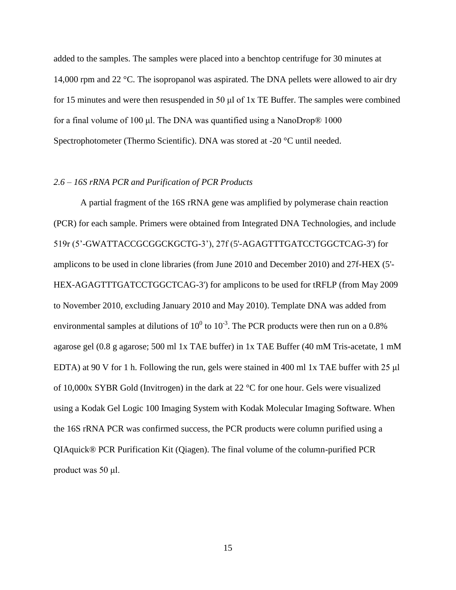added to the samples. The samples were placed into a benchtop centrifuge for 30 minutes at 14,000 rpm and 22 °C. The isopropanol was aspirated. The DNA pellets were allowed to air dry for 15 minutes and were then resuspended in 50 μl of 1x TE Buffer. The samples were combined for a final volume of 100 μl. The DNA was quantified using a NanoDrop® 1000 Spectrophotometer (Thermo Scientific). DNA was stored at -20 °C until needed.

#### *2.6 – 16S rRNA PCR and Purification of PCR Products*

A partial fragment of the 16S rRNA gene was amplified by polymerase chain reaction (PCR) for each sample. Primers were obtained from Integrated DNA Technologies, and include 519r (5'-GWATTACCGCGGCKGCTG-3'), 27f (5'-AGAGTTTGATCCTGGCTCAG-3') for amplicons to be used in clone libraries (from June 2010 and December 2010) and 27f-HEX (5'- HEX-AGAGTTTGATCCTGGCTCAG-3') for amplicons to be used for tRFLP (from May 2009 to November 2010, excluding January 2010 and May 2010). Template DNA was added from environmental samples at dilutions of  $10^0$  to  $10^{-3}$ . The PCR products were then run on a 0.8% agarose gel (0.8 g agarose; 500 ml 1x TAE buffer) in 1x TAE Buffer (40 mM Tris-acetate, 1 mM EDTA) at 90 V for 1 h. Following the run, gels were stained in 400 ml 1x TAE buffer with 25 μl of 10,000x SYBR Gold (Invitrogen) in the dark at 22 °C for one hour. Gels were visualized using a Kodak Gel Logic 100 Imaging System with Kodak Molecular Imaging Software. When the 16S rRNA PCR was confirmed success, the PCR products were column purified using a QIAquick® PCR Purification Kit (Qiagen). The final volume of the column-purified PCR product was 50 μl.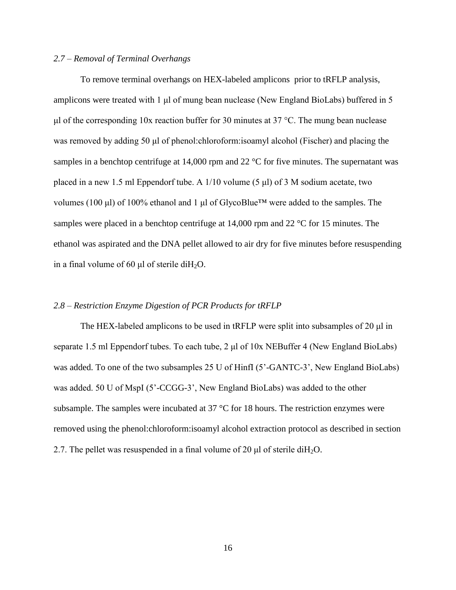#### *2.7 – Removal of Terminal Overhangs*

To remove terminal overhangs on HEX-labeled amplicons prior to tRFLP analysis, amplicons were treated with 1 μl of mung bean nuclease (New England BioLabs) buffered in 5 μl of the corresponding 10x reaction buffer for 30 minutes at 37 °C. The mung bean nuclease was removed by adding 50 μl of phenol:chloroform:isoamyl alcohol (Fischer) and placing the samples in a benchtop centrifuge at 14,000 rpm and 22 °C for five minutes. The supernatant was placed in a new 1.5 ml Eppendorf tube. A 1/10 volume (5 μl) of 3 M sodium acetate, two volumes (100 μl) of 100% ethanol and 1 μl of GlycoBlue™ were added to the samples. The samples were placed in a benchtop centrifuge at 14,000 rpm and 22 °C for 15 minutes. The ethanol was aspirated and the DNA pellet allowed to air dry for five minutes before resuspending in a final volume of 60 μl of sterile diH<sub>2</sub>O.

### *2.8 – Restriction Enzyme Digestion of PCR Products for tRFLP*

The HEX-labeled amplicons to be used in tRFLP were split into subsamples of 20 μl in separate 1.5 ml Eppendorf tubes. To each tube, 2 μl of 10x NEBuffer 4 (New England BioLabs) was added. To one of the two subsamples 25 U of HinfI (5'-GANTC-3', New England BioLabs) was added. 50 U of MspI (5'-CCGG-3', New England BioLabs) was added to the other subsample. The samples were incubated at 37 °C for 18 hours. The restriction enzymes were removed using the phenol:chloroform:isoamyl alcohol extraction protocol as described in section 2.7. The pellet was resuspended in a final volume of 20  $\mu$ l of sterile diH<sub>2</sub>O.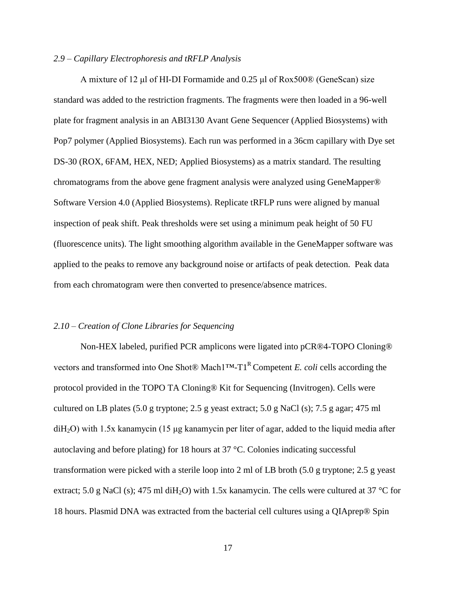#### *2.9 – Capillary Electrophoresis and tRFLP Analysis*

A mixture of 12 μl of HI-DI Formamide and 0.25 μl of Rox500® (GeneScan) size standard was added to the restriction fragments. The fragments were then loaded in a 96-well plate for fragment analysis in an ABI3130 Avant Gene Sequencer (Applied Biosystems) with Pop7 polymer (Applied Biosystems). Each run was performed in a 36cm capillary with Dye set DS-30 (ROX, 6FAM, HEX, NED; Applied Biosystems) as a matrix standard. The resulting chromatograms from the above gene fragment analysis were analyzed using GeneMapper® Software Version 4.0 (Applied Biosystems). Replicate tRFLP runs were aligned by manual inspection of peak shift. Peak thresholds were set using a minimum peak height of 50 FU (fluorescence units). The light smoothing algorithm available in the GeneMapper software was applied to the peaks to remove any background noise or artifacts of peak detection. Peak data from each chromatogram were then converted to presence/absence matrices.

#### *2.10 – Creation of Clone Libraries for Sequencing*

Non-HEX labeled, purified PCR amplicons were ligated into pCR®4-TOPO Cloning® vectors and transformed into One Shot® Mach<sup>1™-T1<sup>R</sup> Competent *E. coli* cells according the</sup> protocol provided in the TOPO TA Cloning® Kit for Sequencing (Invitrogen). Cells were cultured on LB plates (5.0 g tryptone; 2.5 g yeast extract; 5.0 g NaCl (s); 7.5 g agar; 475 ml diH2O) with 1.5x kanamycin (15 μg kanamycin per liter of agar, added to the liquid media after autoclaving and before plating) for 18 hours at 37 °C. Colonies indicating successful transformation were picked with a sterile loop into 2 ml of LB broth (5.0 g tryptone; 2.5 g yeast extract; 5.0 g NaCl (s); 475 ml diH<sub>2</sub>O) with 1.5x kanamycin. The cells were cultured at 37 °C for 18 hours. Plasmid DNA was extracted from the bacterial cell cultures using a QIAprep® Spin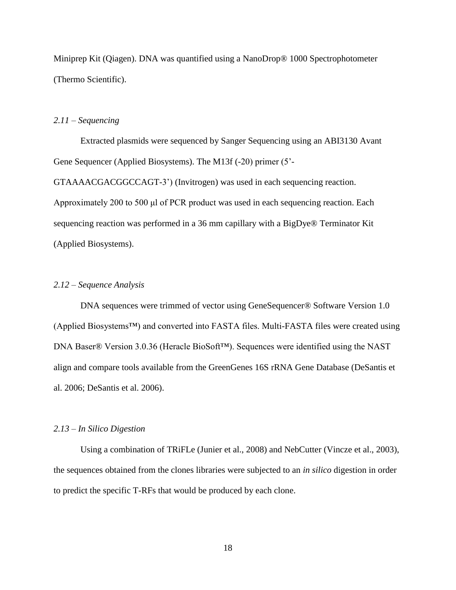Miniprep Kit (Qiagen). DNA was quantified using a NanoDrop® 1000 Spectrophotometer (Thermo Scientific).

### *2.11 – Sequencing*

Extracted plasmids were sequenced by Sanger Sequencing using an ABI3130 Avant Gene Sequencer (Applied Biosystems). The M13f (-20) primer (5'-

GTAAAACGACGGCCAGT-3') (Invitrogen) was used in each sequencing reaction. Approximately 200 to 500 μl of PCR product was used in each sequencing reaction. Each sequencing reaction was performed in a 36 mm capillary with a BigDye® Terminator Kit (Applied Biosystems).

#### *2.12 – Sequence Analysis*

DNA sequences were trimmed of vector using GeneSequencer® Software Version 1.0 (Applied Biosystems™) and converted into FASTA files. Multi-FASTA files were created using DNA Baser® Version 3.0.36 (Heracle BioSoft™). Sequences were identified using the NAST align and compare tools available from the GreenGenes 16S rRNA Gene Database (DeSantis et al. 2006; DeSantis et al. 2006).

#### *2.13 – In Silico Digestion*

Using a combination of TRiFLe (Junier et al., 2008) and NebCutter (Vincze et al., 2003), the sequences obtained from the clones libraries were subjected to an *in silico* digestion in order to predict the specific T-RFs that would be produced by each clone.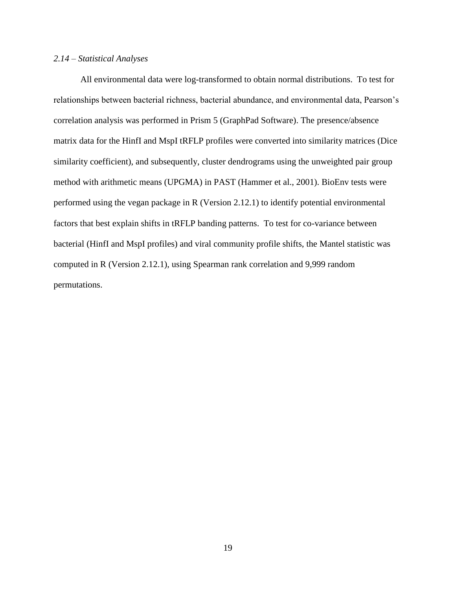#### *2.14 – Statistical Analyses*

All environmental data were log-transformed to obtain normal distributions. To test for relationships between bacterial richness, bacterial abundance, and environmental data, Pearson's correlation analysis was performed in Prism 5 (GraphPad Software). The presence/absence matrix data for the HinfI and MspI tRFLP profiles were converted into similarity matrices (Dice similarity coefficient), and subsequently, cluster dendrograms using the unweighted pair group method with arithmetic means (UPGMA) in PAST (Hammer et al., 2001). BioEnv tests were performed using the vegan package in R (Version 2.12.1) to identify potential environmental factors that best explain shifts in tRFLP banding patterns. To test for co-variance between bacterial (HinfI and MspI profiles) and viral community profile shifts, the Mantel statistic was computed in R (Version 2.12.1), using Spearman rank correlation and 9,999 random permutations.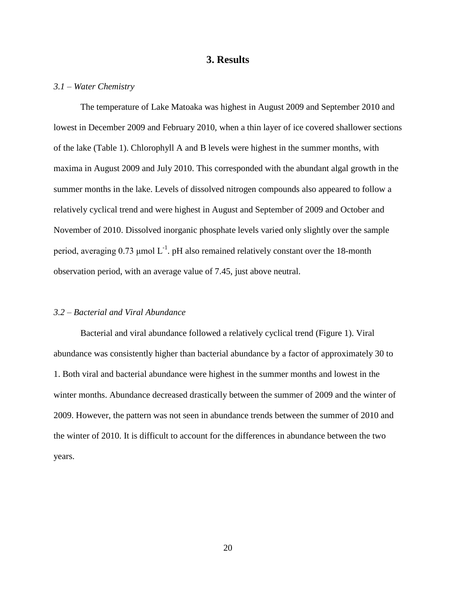# **3. Results**

#### *3.1 – Water Chemistry*

The temperature of Lake Matoaka was highest in August 2009 and September 2010 and lowest in December 2009 and February 2010, when a thin layer of ice covered shallower sections of the lake (Table 1). Chlorophyll A and B levels were highest in the summer months, with maxima in August 2009 and July 2010. This corresponded with the abundant algal growth in the summer months in the lake. Levels of dissolved nitrogen compounds also appeared to follow a relatively cyclical trend and were highest in August and September of 2009 and October and November of 2010. Dissolved inorganic phosphate levels varied only slightly over the sample period, averaging 0.73  $\mu$ mol L<sup>-1</sup>. pH also remained relatively constant over the 18-month observation period, with an average value of 7.45, just above neutral.

#### *3.2 – Bacterial and Viral Abundance*

Bacterial and viral abundance followed a relatively cyclical trend (Figure 1). Viral abundance was consistently higher than bacterial abundance by a factor of approximately 30 to 1. Both viral and bacterial abundance were highest in the summer months and lowest in the winter months. Abundance decreased drastically between the summer of 2009 and the winter of 2009. However, the pattern was not seen in abundance trends between the summer of 2010 and the winter of 2010. It is difficult to account for the differences in abundance between the two years.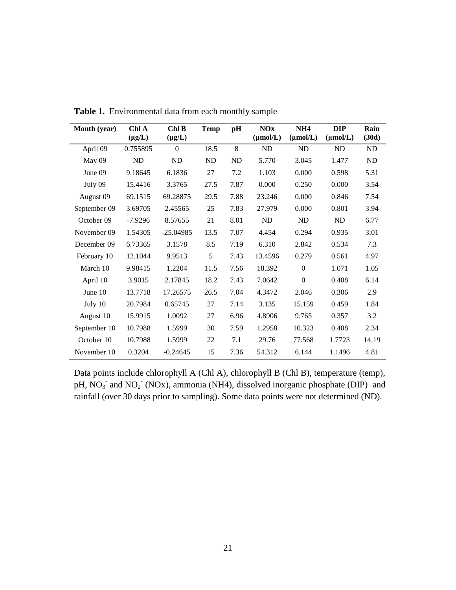| Month (year) | Chl A<br>$(\mu g/L)$ | ChlB<br>$(\mu g/L)$ | <b>Temp</b> | pH   | <b>NOx</b><br>$(\mu mol/L)$ | NH <sub>4</sub><br>$(\mu mol/L)$ | <b>DIP</b><br>$(\mu mol/L)$ | Rain<br>(30d) |
|--------------|----------------------|---------------------|-------------|------|-----------------------------|----------------------------------|-----------------------------|---------------|
| April 09     | 0.755895             | $\Omega$            | 18.5        | 8    | ND                          | ND                               | <b>ND</b>                   | ND            |
| May 09       | ND                   | ND                  | ND          | ND   | 5.770                       | 3.045                            | 1.477                       | ND            |
| June 09      | 9.18645              | 6.1836              | 27          | 7.2  | 1.103                       | 0.000                            | 0.598                       | 5.31          |
| July 09      | 15.4416              | 3.3765              | 27.5        | 7.87 | 0.000                       | 0.250                            | 0.000                       | 3.54          |
| August 09    | 69.1515              | 69.28875            | 29.5        | 7.88 | 23.246                      | 0.000                            | 0.846                       | 7.54          |
| September 09 | 3.69705              | 2.45565             | 25          | 7.83 | 27.979                      | 0.000                            | 0.801                       | 3.94          |
| October 09   | $-7.9296$            | 8.57655             | 21          | 8.01 | ND                          | ND                               | ND                          | 6.77          |
| November 09  | 1.54305              | $-25.04985$         | 13.5        | 7.07 | 4.454                       | 0.294                            | 0.935                       | 3.01          |
| December 09  | 6.73365              | 3.1578              | 8.5         | 7.19 | 6.310                       | 2.842                            | 0.534                       | 7.3           |
| February 10  | 12.1044              | 9.9513              | 5           | 7.43 | 13.4596                     | 0.279                            | 0.561                       | 4.97          |
| March 10     | 9.98415              | 1.2204              | 11.5        | 7.56 | 18.392                      | $\boldsymbol{0}$                 | 1.071                       | 1.05          |
| April 10     | 3.9015               | 2.17845             | 18.2        | 7.43 | 7.0642                      | $\boldsymbol{0}$                 | 0.408                       | 6.14          |
| June 10      | 13.7718              | 17.26575            | 26.5        | 7.04 | 4.3472                      | 2.046                            | 0.306                       | 2.9           |
| July 10      | 20.7984              | 0.65745             | 27          | 7.14 | 3.135                       | 15.159                           | 0.459                       | 1.84          |
| August 10    | 15.9915              | 1.0092              | 27          | 6.96 | 4.8906                      | 9.765                            | 0.357                       | 3.2           |
| September 10 | 10.7988              | 1.5999              | 30          | 7.59 | 1.2958                      | 10.323                           | 0.408                       | 2.34          |
| October 10   | 10.7988              | 1.5999              | 22          | 7.1  | 29.76                       | 77.568                           | 1.7723                      | 14.19         |
| November 10  | 0.3204               | $-0.24645$          | 15          | 7.36 | 54.312                      | 6.144                            | 1.1496                      | 4.81          |

**Table 1.** Environmental data from each monthly sample

Data points include chlorophyll A (Chl A), chlorophyll B (Chl B), temperature (temp), pH,  $NO<sub>3</sub>$ <sup>-</sup> and  $NO<sub>2</sub>$ <sup>-</sup> (NOx), ammonia (NH4), dissolved inorganic phosphate (DIP) and rainfall (over 30 days prior to sampling). Some data points were not determined (ND).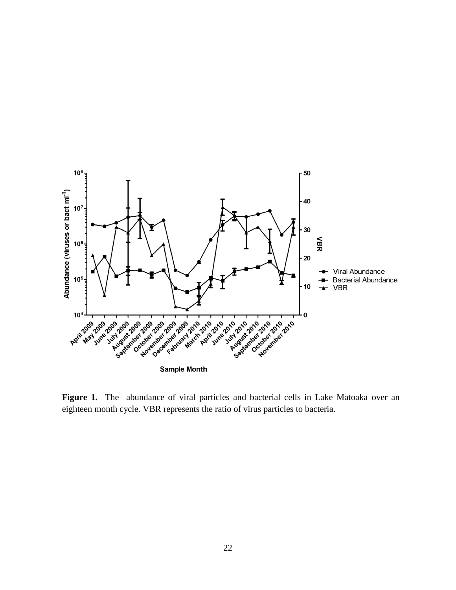

Figure 1. The abundance of viral particles and bacterial cells in Lake Matoaka over an eighteen month cycle. VBR represents the ratio of virus particles to bacteria.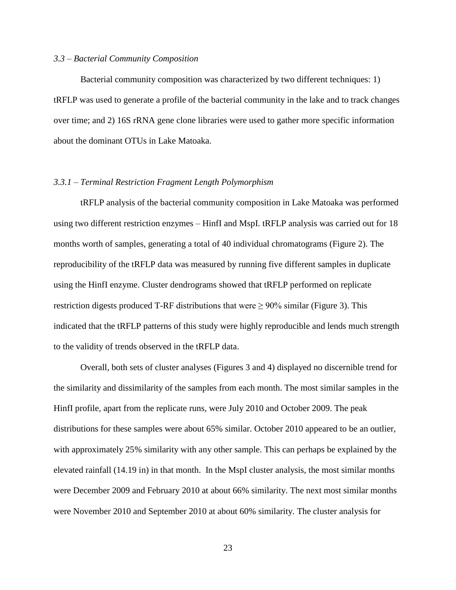#### *3.3 – Bacterial Community Composition*

Bacterial community composition was characterized by two different techniques: 1) tRFLP was used to generate a profile of the bacterial community in the lake and to track changes over time; and 2) 16S rRNA gene clone libraries were used to gather more specific information about the dominant OTUs in Lake Matoaka.

#### *3.3.1 – Terminal Restriction Fragment Length Polymorphism*

tRFLP analysis of the bacterial community composition in Lake Matoaka was performed using two different restriction enzymes – HinfI and MspI. tRFLP analysis was carried out for 18 months worth of samples, generating a total of 40 individual chromatograms (Figure 2). The reproducibility of the tRFLP data was measured by running five different samples in duplicate using the HinfI enzyme. Cluster dendrograms showed that tRFLP performed on replicate restriction digests produced T-RF distributions that were  $\geq 90\%$  similar (Figure 3). This indicated that the tRFLP patterns of this study were highly reproducible and lends much strength to the validity of trends observed in the tRFLP data.

Overall, both sets of cluster analyses (Figures 3 and 4) displayed no discernible trend for the similarity and dissimilarity of the samples from each month. The most similar samples in the HinfI profile, apart from the replicate runs, were July 2010 and October 2009. The peak distributions for these samples were about 65% similar. October 2010 appeared to be an outlier, with approximately 25% similarity with any other sample. This can perhaps be explained by the elevated rainfall (14.19 in) in that month. In the MspI cluster analysis, the most similar months were December 2009 and February 2010 at about 66% similarity. The next most similar months were November 2010 and September 2010 at about 60% similarity. The cluster analysis for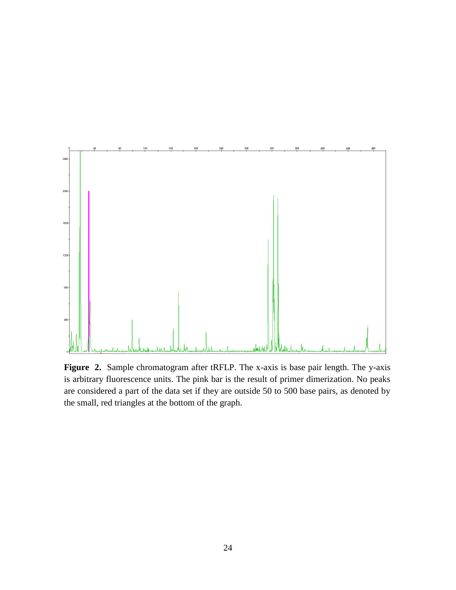

**Figure 2.** Sample chromatogram after tRFLP. The x-axis is base pair length. The y-axis is arbitrary fluorescence units. The pink bar is the result of primer dimerization. No peaks are considered a part of the data set if they are outside 50 to 500 base pairs, as denoted by the small, red triangles at the bottom of the graph.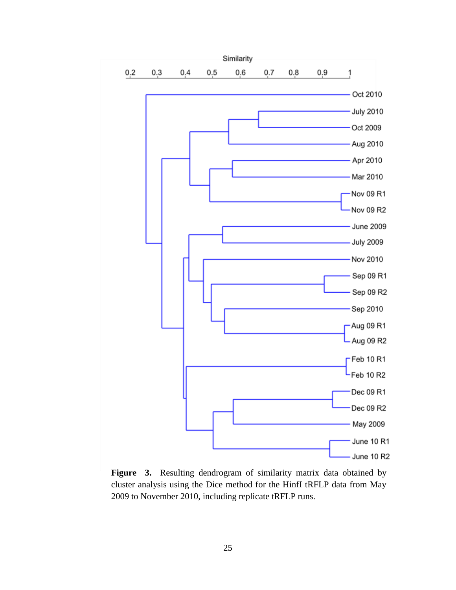

Figure 3. Resulting dendrogram of similarity matrix data obtained by cluster analysis using the Dice method for the HinfI tRFLP data from May 2009 to November 2010, including replicate tRFLP runs.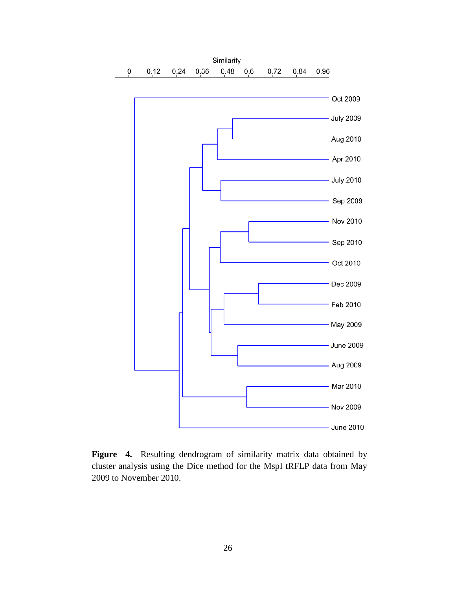

Figure 4. Resulting dendrogram of similarity matrix data obtained by cluster analysis using the Dice method for the MspI tRFLP data from May 2009 to November 2010.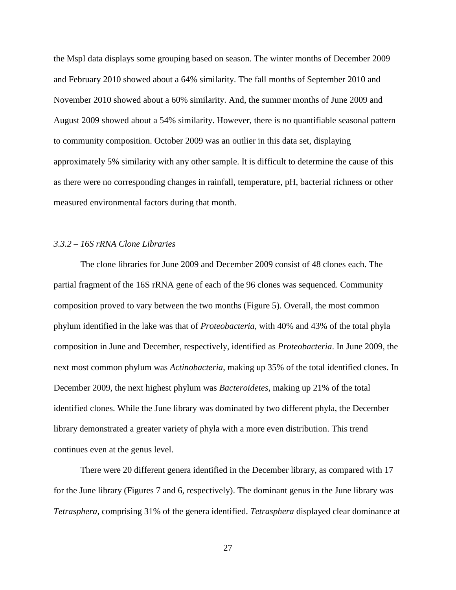the MspI data displays some grouping based on season. The winter months of December 2009 and February 2010 showed about a 64% similarity. The fall months of September 2010 and November 2010 showed about a 60% similarity. And, the summer months of June 2009 and August 2009 showed about a 54% similarity. However, there is no quantifiable seasonal pattern to community composition. October 2009 was an outlier in this data set, displaying approximately 5% similarity with any other sample. It is difficult to determine the cause of this as there were no corresponding changes in rainfall, temperature, pH, bacterial richness or other measured environmental factors during that month.

## *3.3.2 – 16S rRNA Clone Libraries*

The clone libraries for June 2009 and December 2009 consist of 48 clones each. The partial fragment of the 16S rRNA gene of each of the 96 clones was sequenced. Community composition proved to vary between the two months (Figure 5). Overall, the most common phylum identified in the lake was that of *Proteobacteria*, with 40% and 43% of the total phyla composition in June and December, respectively, identified as *Proteobacteria*. In June 2009, the next most common phylum was *Actinobacteria*, making up 35% of the total identified clones. In December 2009, the next highest phylum was *Bacteroidetes*, making up 21% of the total identified clones. While the June library was dominated by two different phyla, the December library demonstrated a greater variety of phyla with a more even distribution. This trend continues even at the genus level.

There were 20 different genera identified in the December library, as compared with 17 for the June library (Figures 7 and 6, respectively). The dominant genus in the June library was *Tetrasphera*, comprising 31% of the genera identified. *Tetrasphera* displayed clear dominance at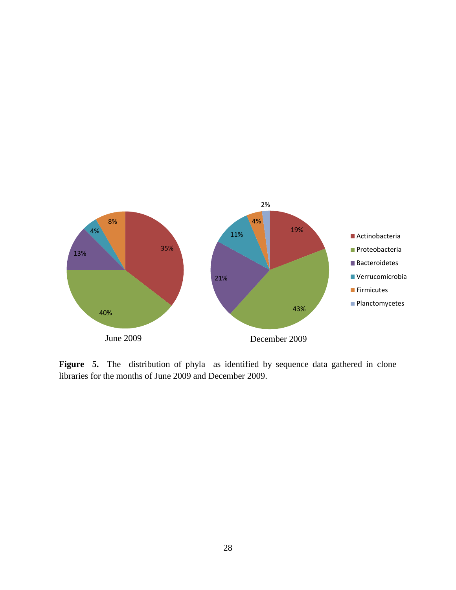

Figure 5. The distribution of phyla as identified by sequence data gathered in clone libraries for the months of June 2009 and December 2009.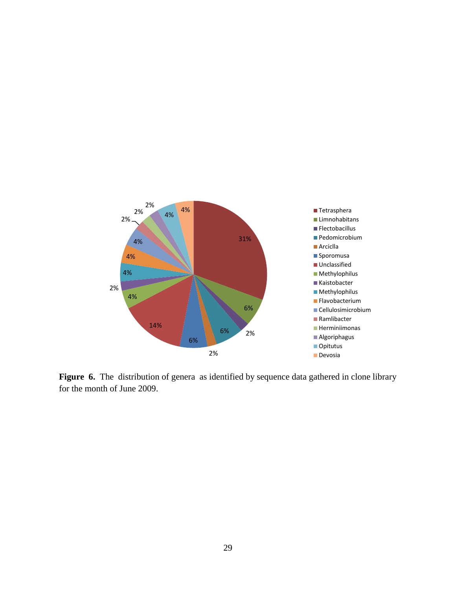

Figure 6. The distribution of genera as identified by sequence data gathered in clone library for the month of June 2009.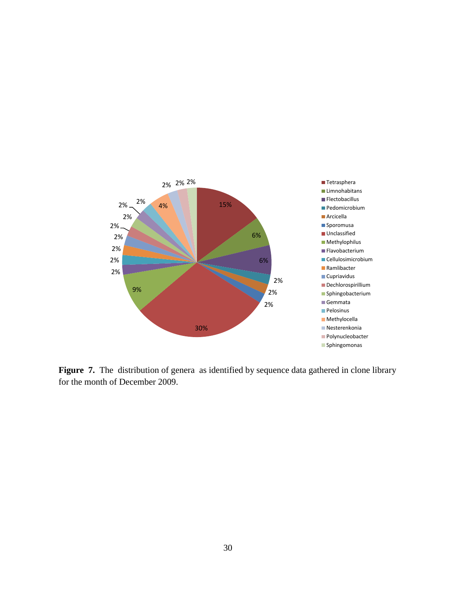

Figure 7. The distribution of genera as identified by sequence data gathered in clone library for the month of December 2009.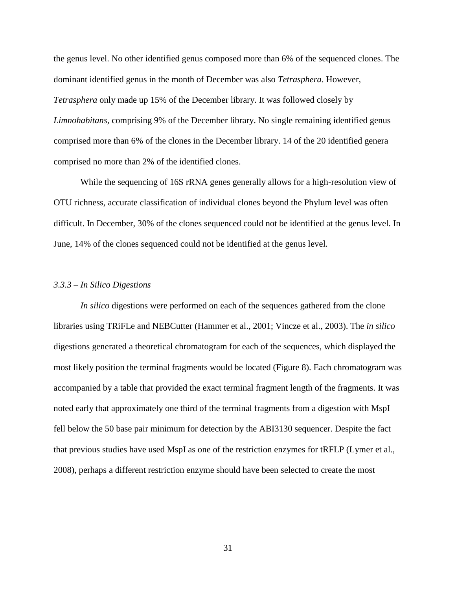the genus level. No other identified genus composed more than 6% of the sequenced clones. The dominant identified genus in the month of December was also *Tetrasphera*. However, *Tetrasphera* only made up 15% of the December library. It was followed closely by *Limnohabitans*, comprising 9% of the December library. No single remaining identified genus comprised more than 6% of the clones in the December library. 14 of the 20 identified genera comprised no more than 2% of the identified clones.

While the sequencing of 16S rRNA genes generally allows for a high-resolution view of OTU richness, accurate classification of individual clones beyond the Phylum level was often difficult. In December, 30% of the clones sequenced could not be identified at the genus level. In June, 14% of the clones sequenced could not be identified at the genus level.

#### *3.3.3 – In Silico Digestions*

*In silico* digestions were performed on each of the sequences gathered from the clone libraries using TRiFLe and NEBCutter (Hammer et al., 2001; Vincze et al., 2003). The *in silico* digestions generated a theoretical chromatogram for each of the sequences, which displayed the most likely position the terminal fragments would be located (Figure 8). Each chromatogram was accompanied by a table that provided the exact terminal fragment length of the fragments. It was noted early that approximately one third of the terminal fragments from a digestion with MspI fell below the 50 base pair minimum for detection by the ABI3130 sequencer. Despite the fact that previous studies have used MspI as one of the restriction enzymes for tRFLP (Lymer et al., 2008), perhaps a different restriction enzyme should have been selected to create the most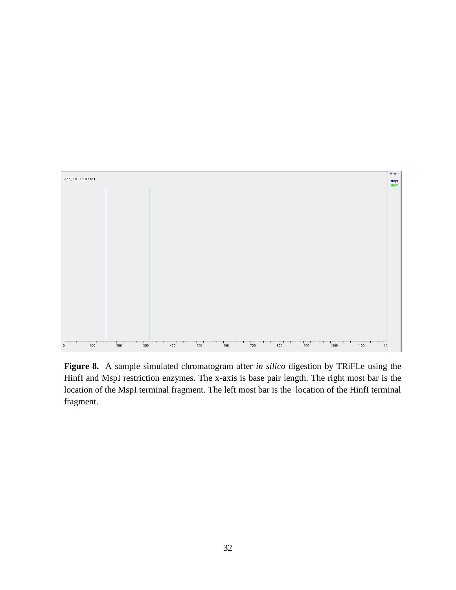

**Figure 8.** A sample simulated chromatogram after *in silico* digestion by TRiFLe using the HinfI and MspI restriction enzymes. The x-axis is base pair length. The right most bar is the location of the MspI terminal fragment. The left most bar is the location of the HinfI terminal fragment.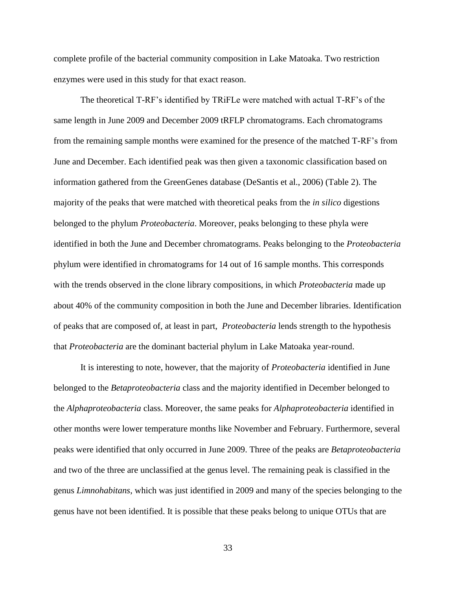complete profile of the bacterial community composition in Lake Matoaka. Two restriction enzymes were used in this study for that exact reason.

The theoretical T-RF's identified by TRiFLe were matched with actual T-RF's of the same length in June 2009 and December 2009 tRFLP chromatograms. Each chromatograms from the remaining sample months were examined for the presence of the matched T-RF's from June and December. Each identified peak was then given a taxonomic classification based on information gathered from the GreenGenes database (DeSantis et al., 2006) (Table 2). The majority of the peaks that were matched with theoretical peaks from the *in silico* digestions belonged to the phylum *Proteobacteria*. Moreover, peaks belonging to these phyla were identified in both the June and December chromatograms. Peaks belonging to the *Proteobacteria* phylum were identified in chromatograms for 14 out of 16 sample months. This corresponds with the trends observed in the clone library compositions, in which *Proteobacteria* made up about 40% of the community composition in both the June and December libraries. Identification of peaks that are composed of, at least in part, *Proteobacteria* lends strength to the hypothesis that *Proteobacteria* are the dominant bacterial phylum in Lake Matoaka year-round.

It is interesting to note, however, that the majority of *Proteobacteria* identified in June belonged to the *Betaproteobacteria* class and the majority identified in December belonged to the *Alphaproteobacteria* class. Moreover, the same peaks for *Alphaproteobacteria* identified in other months were lower temperature months like November and February. Furthermore, several peaks were identified that only occurred in June 2009. Three of the peaks are *Betaproteobacteria* and two of the three are unclassified at the genus level. The remaining peak is classified in the genus *Limnohabitans*, which was just identified in 2009 and many of the species belonging to the genus have not been identified. It is possible that these peaks belong to unique OTUs that are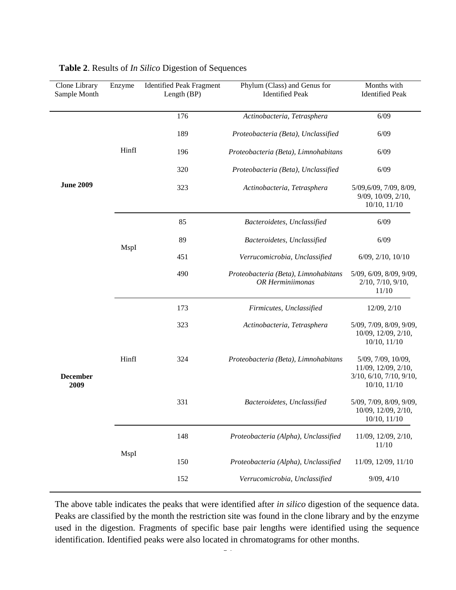| Clone Library<br>Sample Month | Enzyme | <b>Identified Peak Fragment</b><br>Length $(BP)$ | Phylum (Class) and Genus for<br><b>Identified Peak</b>          | Months with<br><b>Identified Peak</b>                                                     |
|-------------------------------|--------|--------------------------------------------------|-----------------------------------------------------------------|-------------------------------------------------------------------------------------------|
|                               |        | 176                                              | Actinobacteria, Tetrasphera                                     | 6/09                                                                                      |
|                               |        | 189                                              | Proteobacteria (Beta), Unclassified                             | 6/09                                                                                      |
|                               | Hinfl  | 196                                              | Proteobacteria (Beta), Limnohabitans                            | 6/09                                                                                      |
|                               |        | 320                                              | Proteobacteria (Beta), Unclassified                             | 6/09                                                                                      |
| <b>June 2009</b>              |        | 323                                              | Actinobacteria, Tetrasphera                                     | 5/09, 6/09, 7/09, 8/09,<br>9/09, 10/09, 2/10,<br>$10/10$ , $11/10$                        |
|                               |        | 85                                               | Bacteroidetes, Unclassified                                     | 6/09                                                                                      |
|                               |        | 89                                               | Bacteroidetes, Unclassified                                     | 6/09                                                                                      |
|                               | MspI   | 451                                              | Verrucomicrobia, Unclassified                                   | $6/09$ , $2/10$ , $10/10$                                                                 |
|                               |        | 490                                              | Proteobacteria (Beta), Limnohabitans<br><b>OR</b> Herminiimonas | 5/09, 6/09, 8/09, 9/09,<br>2/10, 7/10, 9/10,<br>11/10                                     |
|                               |        | 173                                              | Firmicutes, Unclassified                                        | 12/09, 2/10                                                                               |
|                               |        | 323                                              | Actinobacteria, Tetrasphera                                     | 5/09, 7/09, 8/09, 9/09,<br>10/09, 12/09, 2/10,<br>$10/10$ , $11/10$                       |
| <b>December</b><br>2009       | HinfI  | 324                                              | Proteobacteria (Beta), Limnohabitans                            | 5/09, 7/09, 10/09,<br>11/09, 12/09, 2/10,<br>3/10, 6/10, 7/10, 9/10,<br>$10/10$ , $11/10$ |
|                               |        | 331                                              | Bacteroidetes, Unclassified                                     | 5/09, 7/09, 8/09, 9/09,<br>10/09, 12/09, 2/10,<br>10/10, 11/10                            |
|                               |        | 148                                              | Proteobacteria (Alpha), Unclassified                            | 11/09, 12/09, 2/10,<br>11/10                                                              |
|                               | MspI   | 150                                              | Proteobacteria (Alpha), Unclassified                            | 11/09, 12/09, 11/10                                                                       |
|                               |        | 152                                              | Verrucomicrobia, Unclassified                                   | 9/09, 4/10                                                                                |

# **Table 2**. Results of *In Silico* Digestion of Sequences

 $\overline{a}$ The above table indicates the peaks that were identified after *in silico* digestion of the sequence data. Peaks are classified by the month the restriction site was found in the clone library and by the enzyme used in the digestion. Fragments of specific base pair lengths were identified using the sequence identification. Identified peaks were also located in chromatograms for other months.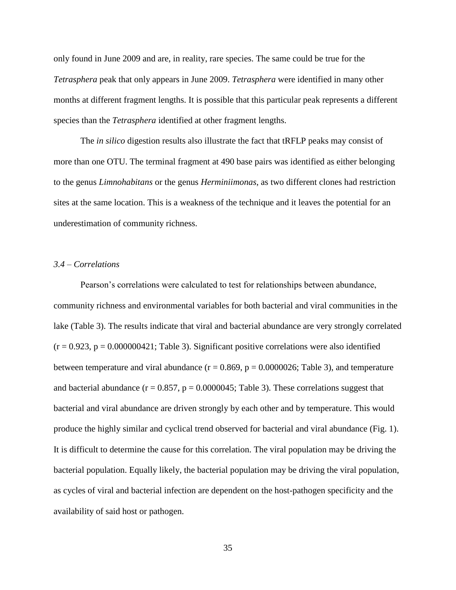only found in June 2009 and are, in reality, rare species. The same could be true for the *Tetrasphera* peak that only appears in June 2009. *Tetrasphera* were identified in many other months at different fragment lengths. It is possible that this particular peak represents a different species than the *Tetrasphera* identified at other fragment lengths.

The *in silico* digestion results also illustrate the fact that tRFLP peaks may consist of more than one OTU. The terminal fragment at 490 base pairs was identified as either belonging to the genus *Limnohabitans* or the genus *Herminiimonas*, as two different clones had restriction sites at the same location. This is a weakness of the technique and it leaves the potential for an underestimation of community richness.

#### *3.4 – Correlations*

Pearson's correlations were calculated to test for relationships between abundance, community richness and environmental variables for both bacterial and viral communities in the lake (Table 3). The results indicate that viral and bacterial abundance are very strongly correlated  $(r = 0.923, p = 0.000000421;$  Table 3). Significant positive correlations were also identified between temperature and viral abundance ( $r = 0.869$ ,  $p = 0.0000026$ ; Table 3), and temperature and bacterial abundance ( $r = 0.857$ ,  $p = 0.0000045$ ; Table 3). These correlations suggest that bacterial and viral abundance are driven strongly by each other and by temperature. This would produce the highly similar and cyclical trend observed for bacterial and viral abundance (Fig. 1). It is difficult to determine the cause for this correlation. The viral population may be driving the bacterial population. Equally likely, the bacterial population may be driving the viral population, as cycles of viral and bacterial infection are dependent on the host-pathogen specificity and the availability of said host or pathogen.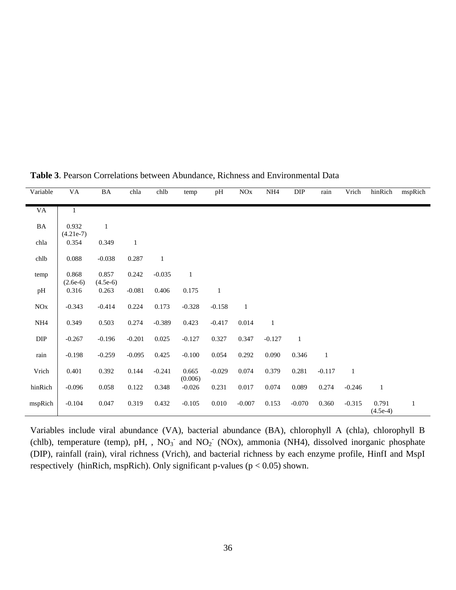| Variable  | VA           | BA           | chla         | chlb         | temp         | pH           | $\rm NOx$    | $\rm NH4$    | DIP          | rain         | Vrich    | hinRich      | mspRich |
|-----------|--------------|--------------|--------------|--------------|--------------|--------------|--------------|--------------|--------------|--------------|----------|--------------|---------|
|           |              |              |              |              |              |              |              |              |              |              |          |              |         |
| VA        | $\mathbf{1}$ |              |              |              |              |              |              |              |              |              |          |              |         |
|           |              |              |              |              |              |              |              |              |              |              |          |              |         |
| $\rm{BA}$ | 0.932        | $\mathbf{1}$ |              |              |              |              |              |              |              |              |          |              |         |
|           | $(4.21e-7)$  |              |              |              |              |              |              |              |              |              |          |              |         |
| chla      | 0.354        | 0.349        | $\mathbf{1}$ |              |              |              |              |              |              |              |          |              |         |
|           |              |              |              |              |              |              |              |              |              |              |          |              |         |
| chlb      | 0.088        | $-0.038$     | 0.287        | $\mathbf{1}$ |              |              |              |              |              |              |          |              |         |
|           |              |              |              |              |              |              |              |              |              |              |          |              |         |
| temp      | 0.868        | 0.857        | 0.242        | $-0.035$     | $\mathbf{1}$ |              |              |              |              |              |          |              |         |
|           | $(2.6e-6)$   | $(4.5e-6)$   |              |              |              |              |              |              |              |              |          |              |         |
| pH        | 0.316        | 0.263        | $-0.081$     | 0.406        | 0.175        | $\mathbf{1}$ |              |              |              |              |          |              |         |
|           |              |              |              |              |              |              |              |              |              |              |          |              |         |
| $\rm NOx$ | $-0.343$     | $-0.414$     | 0.224        | 0.173        | $-0.328$     | $-0.158$     | $\mathbf{1}$ |              |              |              |          |              |         |
|           |              |              |              |              |              |              |              |              |              |              |          |              |         |
| NH4       | 0.349        | 0.503        | 0.274        | $-0.389$     | 0.423        | $-0.417$     | 0.014        | $\mathbf{1}$ |              |              |          |              |         |
|           |              |              |              |              |              |              |              |              |              |              |          |              |         |
| $\rm DIP$ |              |              | $-0.201$     | 0.025        |              | 0.327        |              |              |              |              |          |              |         |
|           | $-0.267$     | $-0.196$     |              |              | $-0.127$     |              | 0.347        | $-0.127$     | $\mathbf{1}$ |              |          |              |         |
|           |              |              |              |              |              |              |              |              |              |              |          |              |         |
| rain      | $-0.198$     | $-0.259$     | $-0.095$     | 0.425        | $-0.100$     | 0.054        | 0.292        | 0.090        | 0.346        | $\mathbf{1}$ |          |              |         |
|           |              |              |              |              |              |              |              |              |              |              |          |              |         |
| Vrich     | 0.401        | 0.392        | 0.144        | $-0.241$     | 0.665        | $-0.029$     | 0.074        | 0.379        | 0.281        | $-0.117$     | $\,1$    |              |         |
|           |              |              |              |              | (0.006)      |              |              |              |              |              |          |              |         |
| hinRich   | $-0.096$     | 0.058        | 0.122        | 0.348        | $-0.026$     | 0.231        | 0.017        | 0.074        | 0.089        | 0.274        | $-0.246$ | $\mathbf{1}$ |         |
|           |              |              |              |              |              |              |              |              |              |              |          |              |         |
| mspRich   | $-0.104$     | 0.047        | 0.319        | 0.432        | $-0.105$     | 0.010        | $-0.007$     | 0.153        | $-0.070$     | 0.360        | $-0.315$ | 0.791        | 1       |
|           |              |              |              |              |              |              |              |              |              |              |          | $(4.5e-4)$   |         |

**Table 3**. Pearson Correlations between Abundance, Richness and Environmental Data

Variables include viral abundance (VA), bacterial abundance (BA), chlorophyll A (chla), chlorophyll B (chlb), temperature (temp), pH, ,  $NO_3^-$  and  $NO_2^-$  (NOx), ammonia (NH4), dissolved inorganic phosphate (DIP), rainfall (rain), viral richness (Vrich), and bacterial richness by each enzyme profile, HinfI and MspI respectively (hinRich, mspRich). Only significant p-values ( $p < 0.05$ ) shown.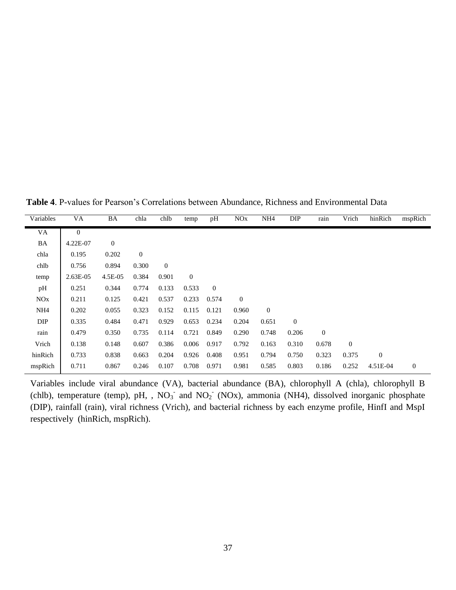**Table 4**. P-values for Pearson's Correlations between Abundance, Richness and Environmental Data

| Variables       | VA             | BA           | chla         | chlb         | temp         | pH           | <b>NO<sub>x</sub></b> | NH <sub>4</sub> | DIP          | rain           | Vrich        | hinRich          | mspRich      |
|-----------------|----------------|--------------|--------------|--------------|--------------|--------------|-----------------------|-----------------|--------------|----------------|--------------|------------------|--------------|
| VA              | $\overline{0}$ |              |              |              |              |              |                       |                 |              |                |              |                  |              |
| BA              | 4.22E-07       | $\mathbf{0}$ |              |              |              |              |                       |                 |              |                |              |                  |              |
| chla            | 0.195          | 0.202        | $\mathbf{0}$ |              |              |              |                       |                 |              |                |              |                  |              |
| chlb            | 0.756          | 0.894        | 0.300        | $\mathbf{0}$ |              |              |                       |                 |              |                |              |                  |              |
| temp            | $2.63E-05$     | 4.5E-05      | 0.384        | 0.901        | $\mathbf{0}$ |              |                       |                 |              |                |              |                  |              |
| pH              | 0.251          | 0.344        | 0.774        | 0.133        | 0.533        | $\mathbf{0}$ |                       |                 |              |                |              |                  |              |
| <b>NOx</b>      | 0.211          | 0.125        | 0.421        | 0.537        | 0.233        | 0.574        | $\theta$              |                 |              |                |              |                  |              |
| NH <sub>4</sub> | 0.202          | 0.055        | 0.323        | 0.152        | 0.115        | 0.121        | 0.960                 | $\mathbf{0}$    |              |                |              |                  |              |
| DIP             | 0.335          | 0.484        | 0.471        | 0.929        | 0.653        | 0.234        | 0.204                 | 0.651           | $\mathbf{0}$ |                |              |                  |              |
| rain            | 0.479          | 0.350        | 0.735        | 0.114        | 0.721        | 0.849        | 0.290                 | 0.748           | 0.206        | $\overline{0}$ |              |                  |              |
| Vrich           | 0.138          | 0.148        | 0.607        | 0.386        | 0.006        | 0.917        | 0.792                 | 0.163           | 0.310        | 0.678          | $\mathbf{0}$ |                  |              |
| hinRich         | 0.733          | 0.838        | 0.663        | 0.204        | 0.926        | 0.408        | 0.951                 | 0.794           | 0.750        | 0.323          | 0.375        | $\boldsymbol{0}$ |              |
| mspRich         | 0.711          | 0.867        | 0.246        | 0.107        | 0.708        | 0.971        | 0.981                 | 0.585           | 0.803        | 0.186          | 0.252        | 4.51E-04         | $\mathbf{0}$ |

Variables include viral abundance (VA), bacterial abundance (BA), chlorophyll A (chla), chlorophyll B (chlb), temperature (temp), pH, ,  $NO_3^-$  and  $NO_2^-$  (NOx), ammonia (NH4), dissolved inorganic phosphate (DIP), rainfall (rain), viral richness (Vrich), and bacterial richness by each enzyme profile, HinfI and MspI respectively (hinRich, mspRich).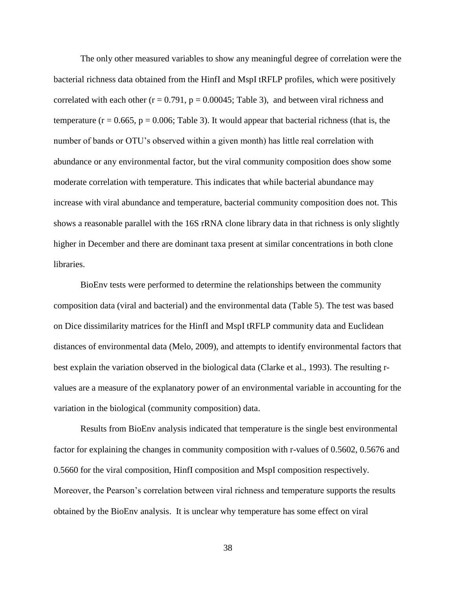The only other measured variables to show any meaningful degree of correlation were the bacterial richness data obtained from the HinfI and MspI tRFLP profiles, which were positively correlated with each other ( $r = 0.791$ ,  $p = 0.00045$ ; Table 3), and between viral richness and temperature ( $r = 0.665$ ,  $p = 0.006$ ; Table 3). It would appear that bacterial richness (that is, the number of bands or OTU's observed within a given month) has little real correlation with abundance or any environmental factor, but the viral community composition does show some moderate correlation with temperature. This indicates that while bacterial abundance may increase with viral abundance and temperature, bacterial community composition does not. This shows a reasonable parallel with the 16S rRNA clone library data in that richness is only slightly higher in December and there are dominant taxa present at similar concentrations in both clone libraries.

BioEnv tests were performed to determine the relationships between the community composition data (viral and bacterial) and the environmental data (Table 5). The test was based on Dice dissimilarity matrices for the HinfI and MspI tRFLP community data and Euclidean distances of environmental data (Melo, 2009), and attempts to identify environmental factors that best explain the variation observed in the biological data (Clarke et al., 1993). The resulting rvalues are a measure of the explanatory power of an environmental variable in accounting for the variation in the biological (community composition) data.

Results from BioEnv analysis indicated that temperature is the single best environmental factor for explaining the changes in community composition with r-values of 0.5602, 0.5676 and 0.5660 for the viral composition, HinfI composition and MspI composition respectively. Moreover, the Pearson's correlation between viral richness and temperature supports the results obtained by the BioEnv analysis. It is unclear why temperature has some effect on viral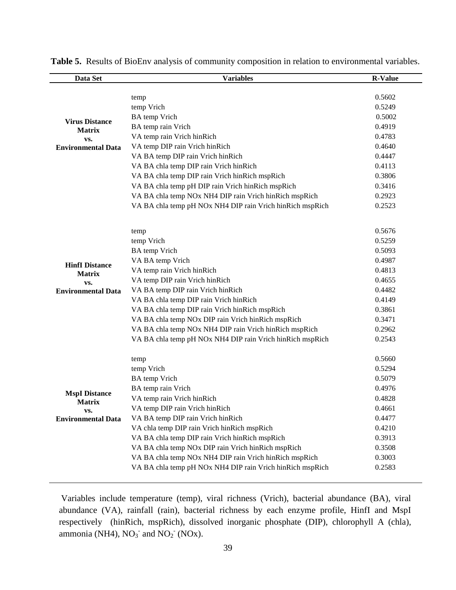| Data Set                  | <b>Variables</b>                                          | <b>R-Value</b> |
|---------------------------|-----------------------------------------------------------|----------------|
|                           |                                                           |                |
|                           | temp                                                      | 0.5602         |
|                           | temp Vrich                                                | 0.5249         |
| <b>Virus Distance</b>     | <b>BA</b> temp Vrich                                      | 0.5002         |
| <b>Matrix</b>             | BA temp rain Vrich                                        | 0.4919         |
| VS.                       | VA temp rain Vrich hinRich                                | 0.4783         |
| <b>Environmental Data</b> | VA temp DIP rain Vrich hinRich                            | 0.4640         |
|                           | VA BA temp DIP rain Vrich hinRich                         | 0.4447         |
|                           | VA BA chla temp DIP rain Vrich hinRich                    | 0.4113         |
|                           | VA BA chla temp DIP rain Vrich hinRich mspRich            | 0.3806         |
|                           | VA BA chla temp pH DIP rain Vrich hinRich mspRich         | 0.3416         |
|                           | VA BA chla temp NOx NH4 DIP rain Vrich hinRich mspRich    | 0.2923         |
|                           | VA BA chla temp pH NOx NH4 DIP rain Vrich hinRich mspRich | 0.2523         |
|                           | temp                                                      | 0.5676         |
|                           | temp Vrich                                                | 0.5259         |
|                           | <b>BA</b> temp Vrich                                      | 0.5093         |
|                           | VA BA temp Vrich                                          | 0.4987         |
| <b>HinfI Distance</b>     | VA temp rain Vrich hinRich                                | 0.4813         |
| <b>Matrix</b><br>VS.      | VA temp DIP rain Vrich hinRich                            | 0.4655         |
| <b>Environmental Data</b> | VA BA temp DIP rain Vrich hinRich                         | 0.4482         |
|                           | VA BA chla temp DIP rain Vrich hinRich                    | 0.4149         |
|                           | VA BA chla temp DIP rain Vrich hinRich mspRich            | 0.3861         |
|                           | VA BA chla temp NOx DIP rain Vrich hinRich mspRich        | 0.3471         |
|                           | VA BA chla temp NOx NH4 DIP rain Vrich hinRich mspRich    | 0.2962         |
|                           | VA BA chla temp pH NOx NH4 DIP rain Vrich hinRich mspRich | 0.2543         |
|                           | temp                                                      | 0.5660         |
|                           | temp Vrich                                                | 0.5294         |
|                           | <b>BA</b> temp Vrich                                      | 0.5079         |
|                           | BA temp rain Vrich                                        | 0.4976         |
| <b>MspI</b> Distance      | VA temp rain Vrich hinRich                                | 0.4828         |
| <b>Matrix</b><br>VS.      | VA temp DIP rain Vrich hinRich                            | 0.4661         |
| <b>Environmental Data</b> | VA BA temp DIP rain Vrich hinRich                         | 0.4477         |
|                           | VA chla temp DIP rain Vrich hinRich mspRich               | 0.4210         |
|                           | VA BA chla temp DIP rain Vrich hinRich mspRich            | 0.3913         |
|                           | VA BA chla temp NOx DIP rain Vrich hinRich mspRich        | 0.3508         |
|                           | VA BA chla temp NOx NH4 DIP rain Vrich hinRich mspRich    | 0.3003         |
|                           | VA BA chla temp pH NOx NH4 DIP rain Vrich hinRich mspRich | 0.2583         |
|                           |                                                           |                |

**Table 5.** Results of BioEnv analysis of community composition in relation to environmental variables.

Variables include temperature (temp), viral richness (Vrich), bacterial abundance (BA), viral abundance (VA), rainfall (rain), bacterial richness by each enzyme profile, HinfI and MspI respectively (hinRich, mspRich), dissolved inorganic phosphate (DIP), chlorophyll A (chla), ammonia (NH4),  $NO<sub>3</sub><sup>-</sup>$  and  $NO<sub>2</sub><sup>-</sup>$  (NOx).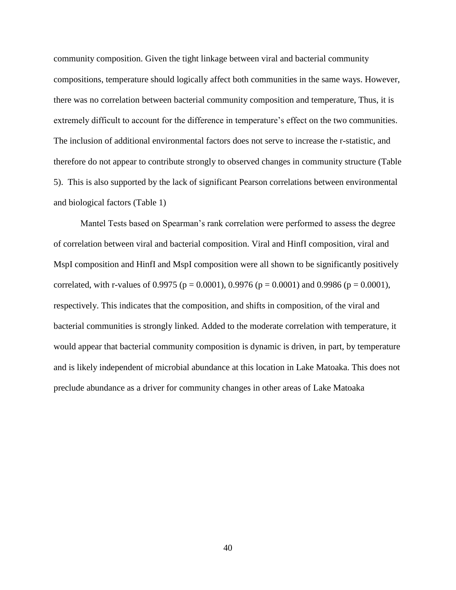community composition. Given the tight linkage between viral and bacterial community compositions, temperature should logically affect both communities in the same ways. However, there was no correlation between bacterial community composition and temperature, Thus, it is extremely difficult to account for the difference in temperature's effect on the two communities. The inclusion of additional environmental factors does not serve to increase the r-statistic, and therefore do not appear to contribute strongly to observed changes in community structure (Table 5). This is also supported by the lack of significant Pearson correlations between environmental and biological factors (Table 1)

Mantel Tests based on Spearman's rank correlation were performed to assess the degree of correlation between viral and bacterial composition. Viral and HinfI composition, viral and MspI composition and HinfI and MspI composition were all shown to be significantly positively correlated, with r-values of 0.9975 ( $p = 0.0001$ ), 0.9976 ( $p = 0.0001$ ) and 0.9986 ( $p = 0.0001$ ), respectively. This indicates that the composition, and shifts in composition, of the viral and bacterial communities is strongly linked. Added to the moderate correlation with temperature, it would appear that bacterial community composition is dynamic is driven, in part, by temperature and is likely independent of microbial abundance at this location in Lake Matoaka. This does not preclude abundance as a driver for community changes in other areas of Lake Matoaka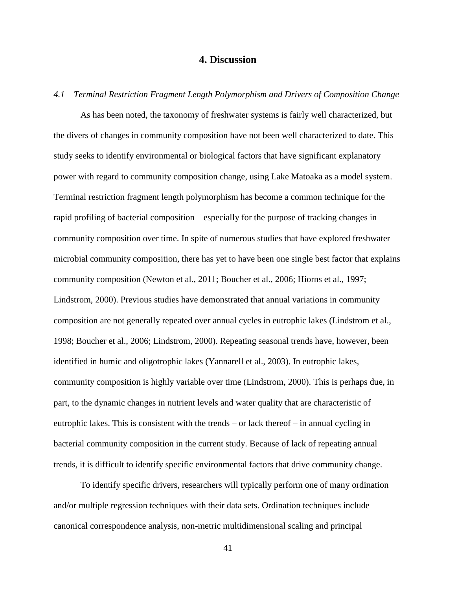# **4. Discussion**

*4.1 – Terminal Restriction Fragment Length Polymorphism and Drivers of Composition Change*

As has been noted, the taxonomy of freshwater systems is fairly well characterized, but the divers of changes in community composition have not been well characterized to date. This study seeks to identify environmental or biological factors that have significant explanatory power with regard to community composition change, using Lake Matoaka as a model system. Terminal restriction fragment length polymorphism has become a common technique for the rapid profiling of bacterial composition – especially for the purpose of tracking changes in community composition over time. In spite of numerous studies that have explored freshwater microbial community composition, there has yet to have been one single best factor that explains community composition (Newton et al., 2011; Boucher et al., 2006; Hiorns et al., 1997; Lindstrom, 2000). Previous studies have demonstrated that annual variations in community composition are not generally repeated over annual cycles in eutrophic lakes (Lindstrom et al., 1998; Boucher et al., 2006; Lindstrom, 2000). Repeating seasonal trends have, however, been identified in humic and oligotrophic lakes (Yannarell et al., 2003). In eutrophic lakes, community composition is highly variable over time (Lindstrom, 2000). This is perhaps due, in part, to the dynamic changes in nutrient levels and water quality that are characteristic of eutrophic lakes. This is consistent with the trends – or lack thereof – in annual cycling in bacterial community composition in the current study. Because of lack of repeating annual trends, it is difficult to identify specific environmental factors that drive community change.

To identify specific drivers, researchers will typically perform one of many ordination and/or multiple regression techniques with their data sets. Ordination techniques include canonical correspondence analysis, non-metric multidimensional scaling and principal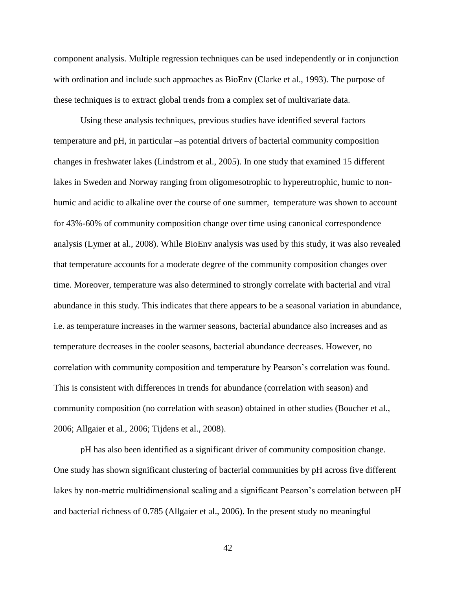component analysis. Multiple regression techniques can be used independently or in conjunction with ordination and include such approaches as BioEnv (Clarke et al., 1993). The purpose of these techniques is to extract global trends from a complex set of multivariate data.

Using these analysis techniques, previous studies have identified several factors – temperature and pH, in particular –as potential drivers of bacterial community composition changes in freshwater lakes (Lindstrom et al., 2005). In one study that examined 15 different lakes in Sweden and Norway ranging from oligomesotrophic to hypereutrophic, humic to nonhumic and acidic to alkaline over the course of one summer, temperature was shown to account for 43%-60% of community composition change over time using canonical correspondence analysis (Lymer at al., 2008). While BioEnv analysis was used by this study, it was also revealed that temperature accounts for a moderate degree of the community composition changes over time. Moreover, temperature was also determined to strongly correlate with bacterial and viral abundance in this study. This indicates that there appears to be a seasonal variation in abundance, i.e. as temperature increases in the warmer seasons, bacterial abundance also increases and as temperature decreases in the cooler seasons, bacterial abundance decreases. However, no correlation with community composition and temperature by Pearson's correlation was found. This is consistent with differences in trends for abundance (correlation with season) and community composition (no correlation with season) obtained in other studies (Boucher et al., 2006; Allgaier et al., 2006; Tijdens et al., 2008).

pH has also been identified as a significant driver of community composition change. One study has shown significant clustering of bacterial communities by pH across five different lakes by non-metric multidimensional scaling and a significant Pearson's correlation between pH and bacterial richness of 0.785 (Allgaier et al., 2006). In the present study no meaningful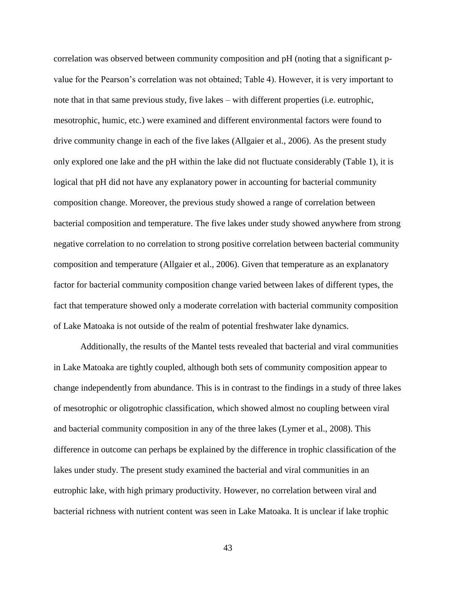correlation was observed between community composition and pH (noting that a significant pvalue for the Pearson's correlation was not obtained; Table 4). However, it is very important to note that in that same previous study, five lakes – with different properties (i.e. eutrophic, mesotrophic, humic, etc.) were examined and different environmental factors were found to drive community change in each of the five lakes (Allgaier et al., 2006). As the present study only explored one lake and the pH within the lake did not fluctuate considerably (Table 1), it is logical that pH did not have any explanatory power in accounting for bacterial community composition change. Moreover, the previous study showed a range of correlation between bacterial composition and temperature. The five lakes under study showed anywhere from strong negative correlation to no correlation to strong positive correlation between bacterial community composition and temperature (Allgaier et al., 2006). Given that temperature as an explanatory factor for bacterial community composition change varied between lakes of different types, the fact that temperature showed only a moderate correlation with bacterial community composition of Lake Matoaka is not outside of the realm of potential freshwater lake dynamics.

Additionally, the results of the Mantel tests revealed that bacterial and viral communities in Lake Matoaka are tightly coupled, although both sets of community composition appear to change independently from abundance. This is in contrast to the findings in a study of three lakes of mesotrophic or oligotrophic classification, which showed almost no coupling between viral and bacterial community composition in any of the three lakes (Lymer et al., 2008). This difference in outcome can perhaps be explained by the difference in trophic classification of the lakes under study. The present study examined the bacterial and viral communities in an eutrophic lake, with high primary productivity. However, no correlation between viral and bacterial richness with nutrient content was seen in Lake Matoaka. It is unclear if lake trophic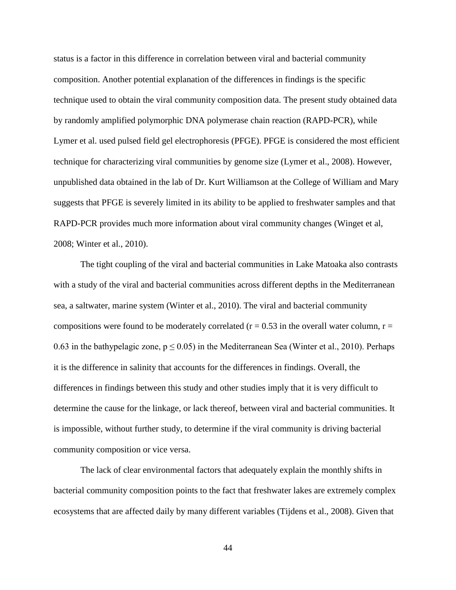status is a factor in this difference in correlation between viral and bacterial community composition. Another potential explanation of the differences in findings is the specific technique used to obtain the viral community composition data. The present study obtained data by randomly amplified polymorphic DNA polymerase chain reaction (RAPD-PCR), while Lymer et al. used pulsed field gel electrophoresis (PFGE). PFGE is considered the most efficient technique for characterizing viral communities by genome size (Lymer et al., 2008). However, unpublished data obtained in the lab of Dr. Kurt Williamson at the College of William and Mary suggests that PFGE is severely limited in its ability to be applied to freshwater samples and that RAPD-PCR provides much more information about viral community changes (Winget et al, 2008; Winter et al., 2010).

The tight coupling of the viral and bacterial communities in Lake Matoaka also contrasts with a study of the viral and bacterial communities across different depths in the Mediterranean sea, a saltwater, marine system (Winter et al., 2010). The viral and bacterial community compositions were found to be moderately correlated ( $r = 0.53$  in the overall water column,  $r =$ 0.63 in the bathypelagic zone,  $p \le 0.05$ ) in the Mediterranean Sea (Winter et al., 2010). Perhaps it is the difference in salinity that accounts for the differences in findings. Overall, the differences in findings between this study and other studies imply that it is very difficult to determine the cause for the linkage, or lack thereof, between viral and bacterial communities. It is impossible, without further study, to determine if the viral community is driving bacterial community composition or vice versa.

The lack of clear environmental factors that adequately explain the monthly shifts in bacterial community composition points to the fact that freshwater lakes are extremely complex ecosystems that are affected daily by many different variables (Tijdens et al., 2008). Given that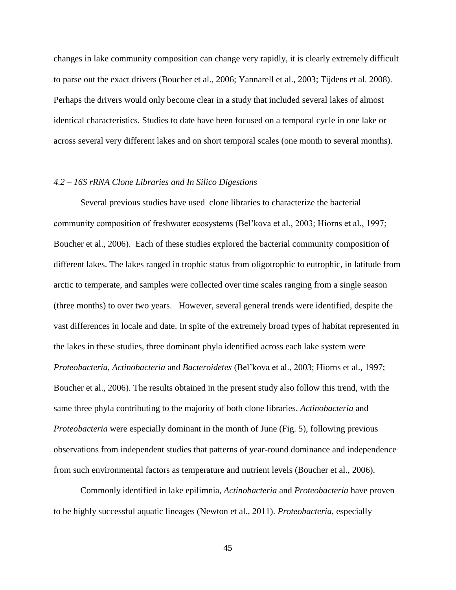changes in lake community composition can change very rapidly, it is clearly extremely difficult to parse out the exact drivers (Boucher et al., 2006; Yannarell et al., 2003; Tijdens et al. 2008). Perhaps the drivers would only become clear in a study that included several lakes of almost identical characteristics. Studies to date have been focused on a temporal cycle in one lake or across several very different lakes and on short temporal scales (one month to several months).

#### *4.2 – 16S rRNA Clone Libraries and In Silico Digestions*

Several previous studies have used clone libraries to characterize the bacterial community composition of freshwater ecosystems (Bel'kova et al., 2003; Hiorns et al., 1997; Boucher et al., 2006). Each of these studies explored the bacterial community composition of different lakes. The lakes ranged in trophic status from oligotrophic to eutrophic, in latitude from arctic to temperate, and samples were collected over time scales ranging from a single season (three months) to over two years. However, several general trends were identified, despite the vast differences in locale and date. In spite of the extremely broad types of habitat represented in the lakes in these studies, three dominant phyla identified across each lake system were *Proteobacteria*, *Actinobacteria* and *Bacteroidetes* (Bel'kova et al., 2003; Hiorns et al., 1997; Boucher et al., 2006). The results obtained in the present study also follow this trend, with the same three phyla contributing to the majority of both clone libraries. *Actinobacteria* and *Proteobacteria* were especially dominant in the month of June (Fig. 5), following previous observations from independent studies that patterns of year-round dominance and independence from such environmental factors as temperature and nutrient levels (Boucher et al., 2006).

Commonly identified in lake epilimnia, *Actinobacteria* and *Proteobacteria* have proven to be highly successful aquatic lineages (Newton et al., 2011). *Proteobacteria*, especially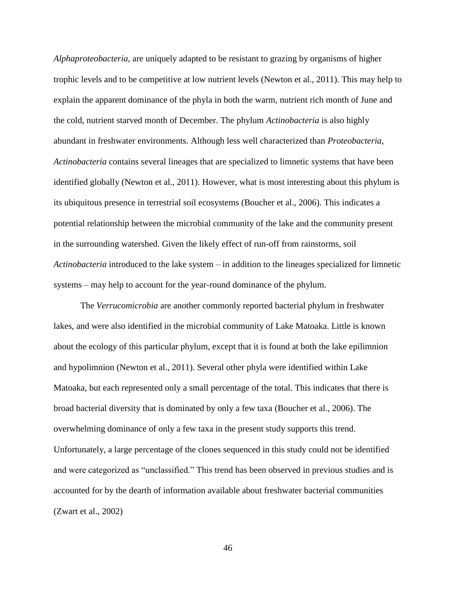*Alphaproteobacteria*, are uniquely adapted to be resistant to grazing by organisms of higher trophic levels and to be competitive at low nutrient levels (Newton et al., 2011). This may help to explain the apparent dominance of the phyla in both the warm, nutrient rich month of June and the cold, nutrient starved month of December. The phylum *Actinobacteria* is also highly abundant in freshwater environments. Although less well characterized than *Proteobacteria*, *Actinobacteria* contains several lineages that are specialized to limnetic systems that have been identified globally (Newton et al., 2011). However, what is most interesting about this phylum is its ubiquitous presence in terrestrial soil ecosystems (Boucher et al., 2006). This indicates a potential relationship between the microbial community of the lake and the community present in the surrounding watershed. Given the likely effect of run-off from rainstorms, soil *Actinobacteria* introduced to the lake system – in addition to the lineages specialized for limnetic systems – may help to account for the year-round dominance of the phylum.

The *Verrucomicrobia* are another commonly reported bacterial phylum in freshwater lakes, and were also identified in the microbial community of Lake Matoaka. Little is known about the ecology of this particular phylum, except that it is found at both the lake epilimnion and hypolimnion (Newton et al., 2011). Several other phyla were identified within Lake Matoaka, but each represented only a small percentage of the total. This indicates that there is broad bacterial diversity that is dominated by only a few taxa (Boucher et al., 2006). The overwhelming dominance of only a few taxa in the present study supports this trend. Unfortunately, a large percentage of the clones sequenced in this study could not be identified and were categorized as "unclassified." This trend has been observed in previous studies and is accounted for by the dearth of information available about freshwater bacterial communities (Zwart et al., 2002)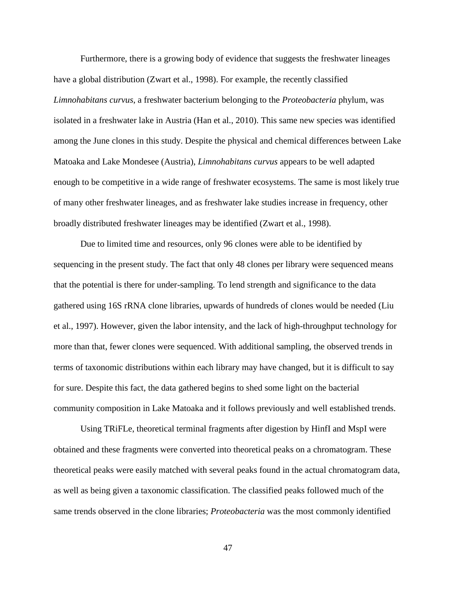Furthermore, there is a growing body of evidence that suggests the freshwater lineages have a global distribution (Zwart et al., 1998). For example, the recently classified *Limnohabitans curvus*, a freshwater bacterium belonging to the *Proteobacteria* phylum, was isolated in a freshwater lake in Austria (Han et al., 2010). This same new species was identified among the June clones in this study. Despite the physical and chemical differences between Lake Matoaka and Lake Mondesee (Austria), *Limnohabitans curvus* appears to be well adapted enough to be competitive in a wide range of freshwater ecosystems. The same is most likely true of many other freshwater lineages, and as freshwater lake studies increase in frequency, other broadly distributed freshwater lineages may be identified (Zwart et al., 1998).

Due to limited time and resources, only 96 clones were able to be identified by sequencing in the present study. The fact that only 48 clones per library were sequenced means that the potential is there for under-sampling. To lend strength and significance to the data gathered using 16S rRNA clone libraries, upwards of hundreds of clones would be needed (Liu et al., 1997). However, given the labor intensity, and the lack of high-throughput technology for more than that, fewer clones were sequenced. With additional sampling, the observed trends in terms of taxonomic distributions within each library may have changed, but it is difficult to say for sure. Despite this fact, the data gathered begins to shed some light on the bacterial community composition in Lake Matoaka and it follows previously and well established trends.

Using TRiFLe, theoretical terminal fragments after digestion by HinfI and MspI were obtained and these fragments were converted into theoretical peaks on a chromatogram. These theoretical peaks were easily matched with several peaks found in the actual chromatogram data, as well as being given a taxonomic classification. The classified peaks followed much of the same trends observed in the clone libraries; *Proteobacteria* was the most commonly identified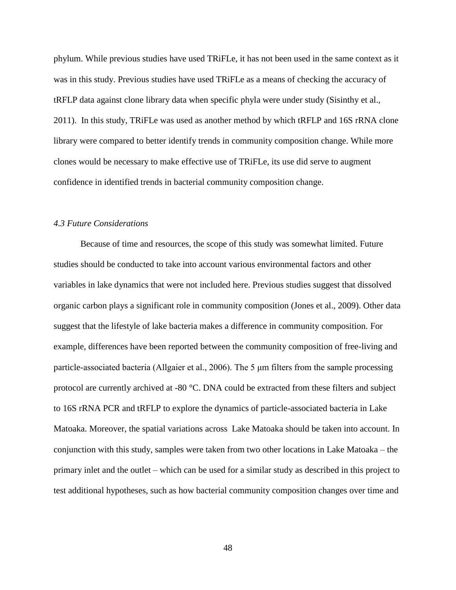phylum. While previous studies have used TRiFLe, it has not been used in the same context as it was in this study. Previous studies have used TRiFLe as a means of checking the accuracy of tRFLP data against clone library data when specific phyla were under study (Sisinthy et al., 2011). In this study, TRiFLe was used as another method by which tRFLP and 16S rRNA clone library were compared to better identify trends in community composition change. While more clones would be necessary to make effective use of TRiFLe, its use did serve to augment confidence in identified trends in bacterial community composition change.

#### *4.3 Future Considerations*

Because of time and resources, the scope of this study was somewhat limited. Future studies should be conducted to take into account various environmental factors and other variables in lake dynamics that were not included here. Previous studies suggest that dissolved organic carbon plays a significant role in community composition (Jones et al., 2009). Other data suggest that the lifestyle of lake bacteria makes a difference in community composition. For example, differences have been reported between the community composition of free-living and particle-associated bacteria (Allgaier et al., 2006). The 5 μm filters from the sample processing protocol are currently archived at -80 °C. DNA could be extracted from these filters and subject to 16S rRNA PCR and tRFLP to explore the dynamics of particle-associated bacteria in Lake Matoaka. Moreover, the spatial variations across Lake Matoaka should be taken into account. In conjunction with this study, samples were taken from two other locations in Lake Matoaka – the primary inlet and the outlet – which can be used for a similar study as described in this project to test additional hypotheses, such as how bacterial community composition changes over time and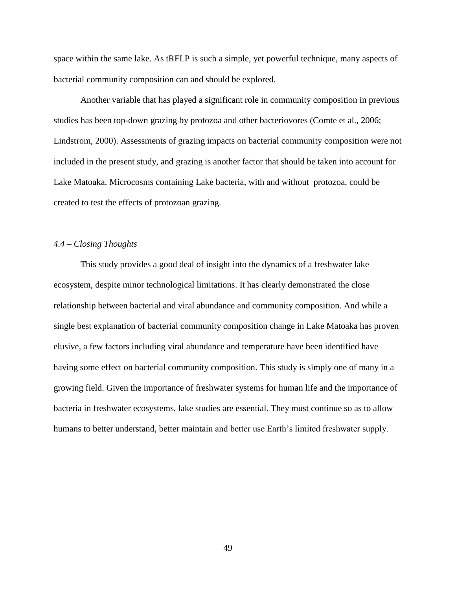space within the same lake. As tRFLP is such a simple, yet powerful technique, many aspects of bacterial community composition can and should be explored.

Another variable that has played a significant role in community composition in previous studies has been top-down grazing by protozoa and other bacteriovores (Comte et al., 2006; Lindstrom, 2000). Assessments of grazing impacts on bacterial community composition were not included in the present study, and grazing is another factor that should be taken into account for Lake Matoaka. Microcosms containing Lake bacteria, with and without protozoa, could be created to test the effects of protozoan grazing.

## *4.4 – Closing Thoughts*

This study provides a good deal of insight into the dynamics of a freshwater lake ecosystem, despite minor technological limitations. It has clearly demonstrated the close relationship between bacterial and viral abundance and community composition. And while a single best explanation of bacterial community composition change in Lake Matoaka has proven elusive, a few factors including viral abundance and temperature have been identified have having some effect on bacterial community composition. This study is simply one of many in a growing field. Given the importance of freshwater systems for human life and the importance of bacteria in freshwater ecosystems, lake studies are essential. They must continue so as to allow humans to better understand, better maintain and better use Earth's limited freshwater supply.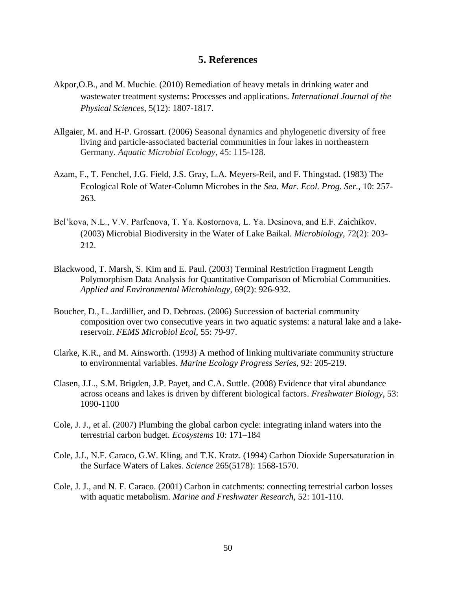# **5. References**

- Akpor,O.B., and M. Muchie. (2010) Remediation of heavy metals in drinking water and wastewater treatment systems: Processes and applications. *International Journal of the Physical Sciences*, 5(12): 1807-1817.
- Allgaier, M. and H-P. Grossart. (2006) Seasonal dynamics and phylogenetic diversity of free living and particle-associated bacterial communities in four lakes in northeastern Germany. *Aquatic Microbial Ecology*, 45: 115-128.
- Azam, F., T. Fenchel, J.G. Field, J.S. Gray, L.A. Meyers-Reil, and F. Thingstad. (1983) The Ecological Role of Water-Column Microbes in the *Sea. Mar. Ecol. Prog. Ser.*, 10: 257- 263.
- Bel'kova, N.L., V.V. Parfenova, T. Ya. Kostornova, L. Ya. Desinova, and E.F. Zaichikov. (2003) Microbial Biodiversity in the Water of Lake Baikal. *Microbiology*, 72(2): 203- 212.
- Blackwood, T. Marsh, S. Kim and E. Paul. (2003) Terminal Restriction Fragment Length Polymorphism Data Analysis for Quantitative Comparison of Microbial Communities. *Applied and Environmental Microbiology*, 69(2): 926-932.
- Boucher, D., L. Jardillier, and D. Debroas. (2006) Succession of bacterial community composition over two consecutive years in two aquatic systems: a natural lake and a lakereservoir. *FEMS Microbiol Ecol*, 55: 79-97.
- Clarke, K.R., and M. Ainsworth. (1993) A method of linking multivariate community structure to environmental variables. *Marine Ecology Progress Series*, 92: 205-219.
- Clasen, J.L., S.M. Brigden, J.P. Payet, and C.A. Suttle. (2008) Evidence that viral abundance across oceans and lakes is driven by different biological factors. *Freshwater Biology*, 53: 1090-1100
- Cole, J. J., et al. (2007) Plumbing the global carbon cycle: integrating inland waters into the terrestrial carbon budget. *Ecosystems* 10: 171–184
- Cole, J.J., N.F. Caraco, G.W. Kling, and T.K. Kratz. (1994) Carbon Dioxide Supersaturation in the Surface Waters of Lakes. *Science* 265(5178): 1568-1570.
- Cole, J. J., and N. F. Caraco. (2001) Carbon in catchments: connecting terrestrial carbon losses with aquatic metabolism. *Marine and Freshwater Research*, 52: 101-110.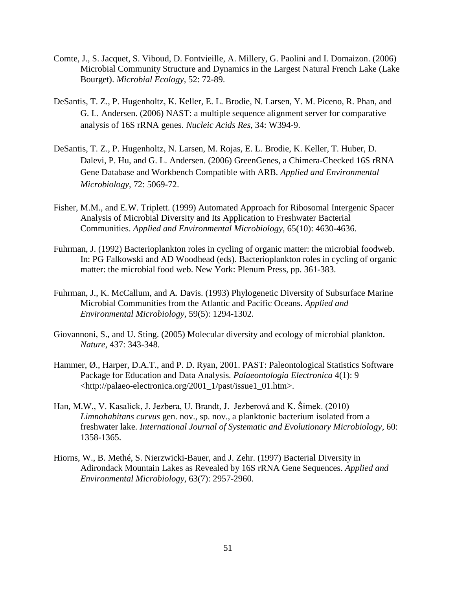- Comte, J., S. Jacquet, S. Viboud, D. Fontvieille, A. Millery, G. Paolini and I. Domaizon. (2006) Microbial Community Structure and Dynamics in the Largest Natural French Lake (Lake Bourget). *Microbial Ecology*, 52: 72-89.
- DeSantis, T. Z., P. Hugenholtz, K. Keller, E. L. Brodie, N. Larsen, Y. M. Piceno, R. Phan, and G. L. Andersen. (2006) NAST: a multiple sequence alignment server for comparative analysis of 16S rRNA genes. *Nucleic Acids Res*, 34: W394-9.
- DeSantis, T. Z., P. Hugenholtz, N. Larsen, M. Rojas, E. L. Brodie, K. Keller, T. Huber, D. Dalevi, P. Hu, and G. L. Andersen. (2006) GreenGenes, a Chimera-Checked 16S rRNA Gene Database and Workbench Compatible with ARB. *Applied and Environmental Microbiology*, 72: 5069-72.
- Fisher, M.M., and E.W. Triplett. (1999) Automated Approach for Ribosomal Intergenic Spacer Analysis of Microbial Diversity and Its Application to Freshwater Bacterial Communities. *Applied and Environmental Microbiology*, 65(10): 4630-4636.
- Fuhrman, J. (1992) Bacterioplankton roles in cycling of organic matter: the microbial foodweb. In: PG Falkowski and AD Woodhead (eds). Bacterioplankton roles in cycling of organic matter: the microbial food web. New York: Plenum Press, pp. 361-383.
- Fuhrman, J., K. McCallum, and A. Davis. (1993) Phylogenetic Diversity of Subsurface Marine Microbial Communities from the Atlantic and Pacific Oceans. *Applied and Environmental Microbiology*, 59(5): 1294-1302.
- Giovannoni, S., and U. Sting. (2005) Molecular diversity and ecology of microbial plankton. *Nature*, 437: 343-348.
- Hammer, Ø., Harper, D.A.T., and P. D. Ryan, 2001. PAST: Paleontological Statistics Software Package for Education and Data Analysis*. Palaeontologia Electronica* 4(1): 9 <http://palaeo-electronica.org/2001\_1/past/issue1\_01.htm>.
- Han, M.W., V. Kasalick, J. Jezbera, U. Brandt, J. Jezberová and K. Šimek. (2010) *Limnohabitans curvus* gen. nov., sp. nov., a planktonic bacterium isolated from a freshwater lake. *International Journal of Systematic and Evolutionary Microbiology*, 60: 1358-1365.
- Hiorns, W., B. Methé, S. Nierzwicki-Bauer, and J. Zehr. (1997) Bacterial Diversity in Adirondack Mountain Lakes as Revealed by 16S rRNA Gene Sequences. *Applied and Environmental Microbiology*, 63(7): 2957-2960.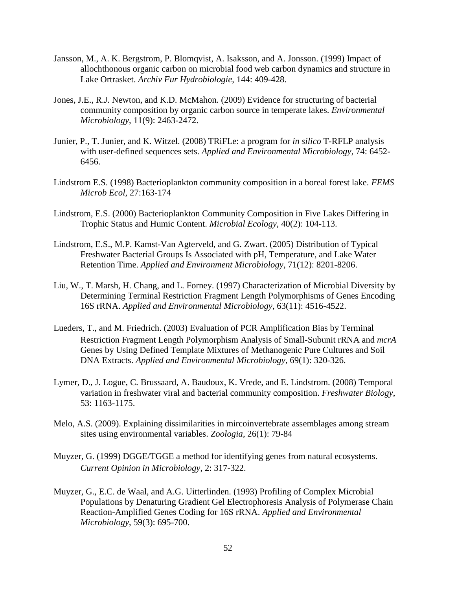- Jansson, M., A. K. Bergstrom, P. Blomqvist, A. Isaksson, and A. Jonsson. (1999) Impact of allochthonous organic carbon on microbial food web carbon dynamics and structure in Lake Ortrasket. *Archiv Fur Hydrobiologie*, 144: 409-428.
- Jones, J.E., R.J. Newton, and K.D. McMahon. (2009) Evidence for structuring of bacterial community composition by organic carbon source in temperate lakes. *Environmental Microbiology*, 11(9): 2463-2472. *Environmental Microbiology*, 11(9): 2463-2472.
- Junier, P., T. Junier, and K. Witzel. (2008) TRiFLe: a program for *in silico* T-RFLP analysis with user-defined sequences sets. *Applied and Environmental Microbiology*, 74: 6452- 6456.
- Lindstrom E.S. (1998) Bacterioplankton community composition in a boreal forest lake. *FEMS Microb Ecol*, 27:163-174
- Lindstrom, E.S. (2000) Bacterioplankton Community Composition in Five Lakes Differing in Trophic Status and Humic Content. *Microbial Ecology*, 40(2): 104-113.
- Lindstrom, E.S., M.P. Kamst-Van Agterveld, and G. Zwart. (2005) Distribution of Typical Freshwater Bacterial Groups Is Associated with pH, Temperature, and Lake Water Retention Time. *Applied and Environment Microbiology*, 71(12): 8201-8206.
- Liu, W., T. Marsh, H. Chang, and L. Forney. (1997) Characterization of Microbial Diversity by Determining Terminal Restriction Fragment Length Polymorphisms of Genes Encoding 16S rRNA. *Applied and Environmental Microbiology*, 63(11): 4516-4522.
- Lueders, T., and M. Friedrich. (2003) Evaluation of PCR Amplification Bias by Terminal Restriction Fragment Length Polymorphism Analysis of Small-Subunit rRNA and *mcrA*  Genes by Using Defined Template Mixtures of Methanogenic Pure Cultures and Soil DNA Extracts. *Applied and Environmental Microbiology*, 69(1): 320-326.
- Lymer, D., J. Logue, C. Brussaard, A. Baudoux, K. Vrede, and E. Lindstrom. (2008) Temporal variation in freshwater viral and bacterial community composition. *Freshwater Biology*, 53: 1163-1175.
- Melo, A.S. (2009). Explaining dissimilarities in mircoinvertebrate assemblages among stream sites using environmental variables. *Zoologia*, 26(1): 79-84
- Muyzer, G. (1999) DGGE/TGGE a method for identifying genes from natural ecosystems. *Current Opinion in Microbiology*, 2: 317-322.
- Muyzer, G., E.C. de Waal, and A.G. Uitterlinden. (1993) Profiling of Complex Microbial Populations by Denaturing Gradient Gel Electrophoresis Analysis of Polymerase Chain Reaction-Amplified Genes Coding for 16S rRNA. *Applied and Environmental Microbiology*, 59(3): 695-700.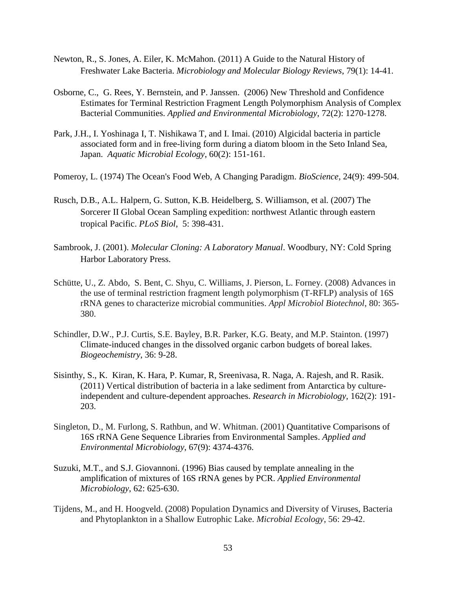- Newton, R., S. Jones, A. Eiler, K. McMahon. (2011) A Guide to the Natural History of Freshwater Lake Bacteria. *Microbiology and Molecular Biology Reviews*, 79(1): 14-41.
- Osborne, C., G. Rees, Y. Bernstein, and P. Janssen. (2006) New Threshold and Confidence Estimates for Terminal Restriction Fragment Length Polymorphism Analysis of Complex Bacterial Communities. *Applied and Environmental Microbiology*, 72(2): 1270-1278.
- [Park, J.H.](http://apps.isiknowledge.com/DaisyOneClickSearch.do?product=WOS&search_mode=DaisyOneClickSearch&db_id=&SID=4BJhDF5jgIKbjOhLFnB&name=Park%20JH&ut=000279626900004&pos=1), I. [Yoshinaga I,](http://apps.isiknowledge.com/DaisyOneClickSearch.do?product=WOS&search_mode=DaisyOneClickSearch&db_id=&SID=4BJhDF5jgIKbjOhLFnB&name=Yoshinaga%20I&ut=000279626900004&pos=2) T. Nishikawa T, and I. Imai. (2010) Algicidal bacteria in particle associated form and in free-living form during a diatom bloom in the Seto Inland Sea, Japan. *Aquatic Microbial Ecology*, 60(2): 151-161.
- Pomeroy, L. (1974) The Ocean's Food Web, A Changing Paradigm. *BioScience*, 24(9): 499-504.
- Rusch, D.B., A.L. Halpern, G. Sutton, K.B. Heidelberg, S. Williamson, et al. (2007) The Sorcerer II Global Ocean Sampling expedition: northwest Atlantic through eastern tropical Pacific. *PLoS Biol*, 5: 398-431.
- Sambrook, J. (2001). *Molecular Cloning: A Laboratory Manual*. Woodbury, NY: Cold Spring Harbor Laboratory Press.
- Schütte, U., Z. Abdo, S. Bent, C. Shyu, C. Williams, J. Pierson, L. Forney. (2008) Advances in the use of terminal restriction fragment length polymorphism (T-RFLP) analysis of 16S rRNA genes to characterize microbial communities. *Appl Microbiol Biotechnol*, 80: 365- 380.
- Schindler, D.W., P.J. Curtis, S.E. Bayley, B.R. Parker, K.G. Beaty, and M.P. Stainton. (1997) Climate-induced changes in the dissolved organic carbon budgets of boreal lakes. *Biogeochemistry*, 36: 9-28.
- Sisinthy, S., K. Kiran, K. Hara, P. Kumar, R, Sreenivasa, R. Naga, A. Rajesh, and R. Rasik. (2011) Vertical distribution of bacteria in a lake sediment from Antarctica by cultureindependent and culture-dependent approaches. *Research in Microbiology*, 162(2): 191- 203.
- Singleton, D., M. Furlong, S. Rathbun, and W. Whitman. (2001) Quantitative Comparisons of 16S rRNA Gene Sequence Libraries from Environmental Samples. *Applied and Environmental Microbiology*, 67(9): 4374-4376.
- Suzuki, M.T., and S.J. Giovannoni. (1996) Bias caused by template annealing in the amplification of mixtures of 16S rRNA genes by PCR. *Applied Environmental Microbiology*, 62: 625-630.
- Tijdens, M., and H. Hoogveld. (2008) Population Dynamics and Diversity of Viruses, Bacteria and Phytoplankton in a Shallow Eutrophic Lake. *Microbial Ecology*, 56: 29-42.